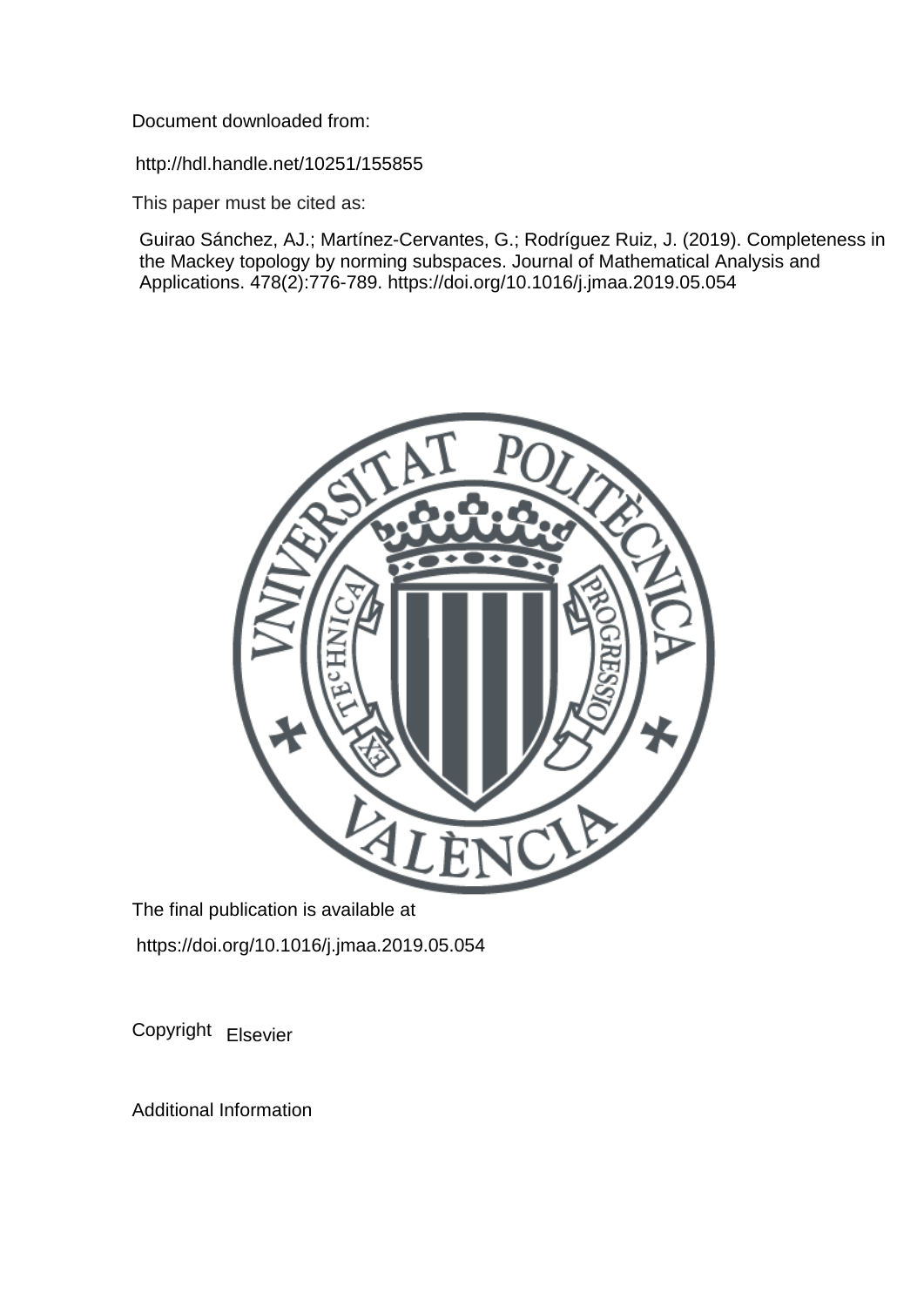Document downloaded from:

http://hdl.handle.net/10251/155855

This paper must be cited as:

Guirao Sánchez, AJ.; Martínez-Cervantes, G.; Rodríguez Ruiz, J. (2019). Completeness in the Mackey topology by norming subspaces. Journal of Mathematical Analysis and Applications. 478(2):776-789. https://doi.org/10.1016/j.jmaa.2019.05.054



The final publication is available at https://doi.org/10.1016/j.jmaa.2019.05.054

Copyright Elsevier

Additional Information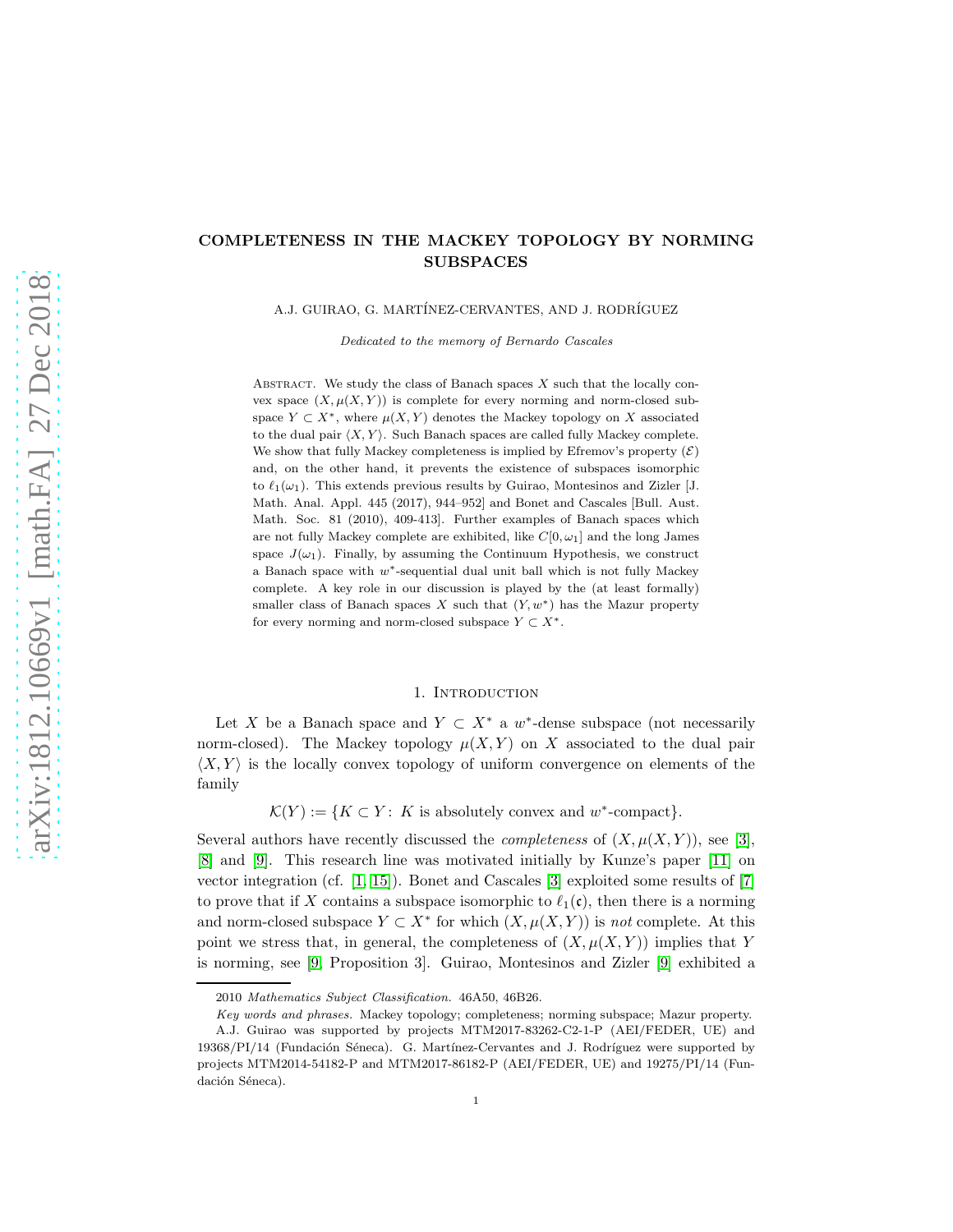# COMPLETENESS IN THE MACKEY TOPOLOGY BY NORMING SUBSPACES

A.J. GUIRAO, G. MARTÍNEZ-CERVANTES, AND J. RODRÍGUEZ

Dedicated to the memory of Bernardo Cascales

ABSTRACT. We study the class of Banach spaces  $X$  such that the locally convex space  $(X, \mu(X, Y))$  is complete for every norming and norm-closed subspace  $Y \subset X^*$ , where  $\mu(X, Y)$  denotes the Mackey topology on X associated to the dual pair  $\langle X, Y \rangle$ . Such Banach spaces are called fully Mackey complete. We show that fully Mackey completeness is implied by Efremov's property  $(\mathcal{E})$ and, on the other hand, it prevents the existence of subspaces isomorphic to  $\ell_1(\omega_1)$ . This extends previous results by Guirao, Montesinos and Zizler [J. Math. Anal. Appl. 445 (2017), 944–952] and Bonet and Cascales [Bull. Aust. Math. Soc. 81 (2010), 409-413]. Further examples of Banach spaces which are not fully Mackey complete are exhibited, like  $C[0, \omega_1]$  and the long James space  $J(\omega_1)$ . Finally, by assuming the Continuum Hypothesis, we construct a Banach space with w∗-sequential dual unit ball which is not fully Mackey complete. A key role in our discussion is played by the (at least formally) smaller class of Banach spaces X such that  $(Y, w^*)$  has the Mazur property for every norming and norm-closed subspace  $Y \subset X^*$ .

## 1. INTRODUCTION

Let X be a Banach space and  $Y \subset X^*$  a w<sup>\*</sup>-dense subspace (not necessarily norm-closed). The Mackey topology  $\mu(X, Y)$  on X associated to the dual pair  $\langle X, Y \rangle$  is the locally convex topology of uniform convergence on elements of the family

 $\mathcal{K}(Y) := \{ K \subset Y : K \text{ is absolutely convex and } w^* \text{-compact} \}.$ 

Several authors have recently discussed the *completeness* of  $(X, \mu(X, Y))$ , see [\[3\]](#page-14-0), [\[8\]](#page-14-1) and [\[9\]](#page-14-2). This research line was motivated initially by Kunze's paper [\[11\]](#page-14-3) on vector integration (cf. [\[1,](#page-14-4) [15\]](#page-14-5)). Bonet and Cascales [\[3\]](#page-14-0) exploited some results of [\[7\]](#page-14-6) to prove that if X contains a subspace isomorphic to  $\ell_1(\mathfrak{c})$ , then there is a norming and norm-closed subspace  $Y \subset X^*$  for which  $(X, \mu(X, Y))$  is *not* complete. At this point we stress that, in general, the completeness of  $(X, \mu(X, Y))$  implies that Y is norming, see [\[9,](#page-14-2) Proposition 3]. Guirao, Montesinos and Zizler [\[9\]](#page-14-2) exhibited a

<sup>2010</sup> Mathematics Subject Classification. 46A50, 46B26.

Key words and phrases. Mackey topology; completeness; norming subspace; Mazur property.

A.J. Guirao was supported by projects MTM2017-83262-C2-1-P (AEI/FEDER, UE) and 19368/PI/14 (Fundación Séneca). G. Martínez-Cervantes and J. Rodríguez were supported by projects MTM2014-54182-P and MTM2017-86182-P (AEI/FEDER, UE) and 19275/PI/14 (Fundación Séneca).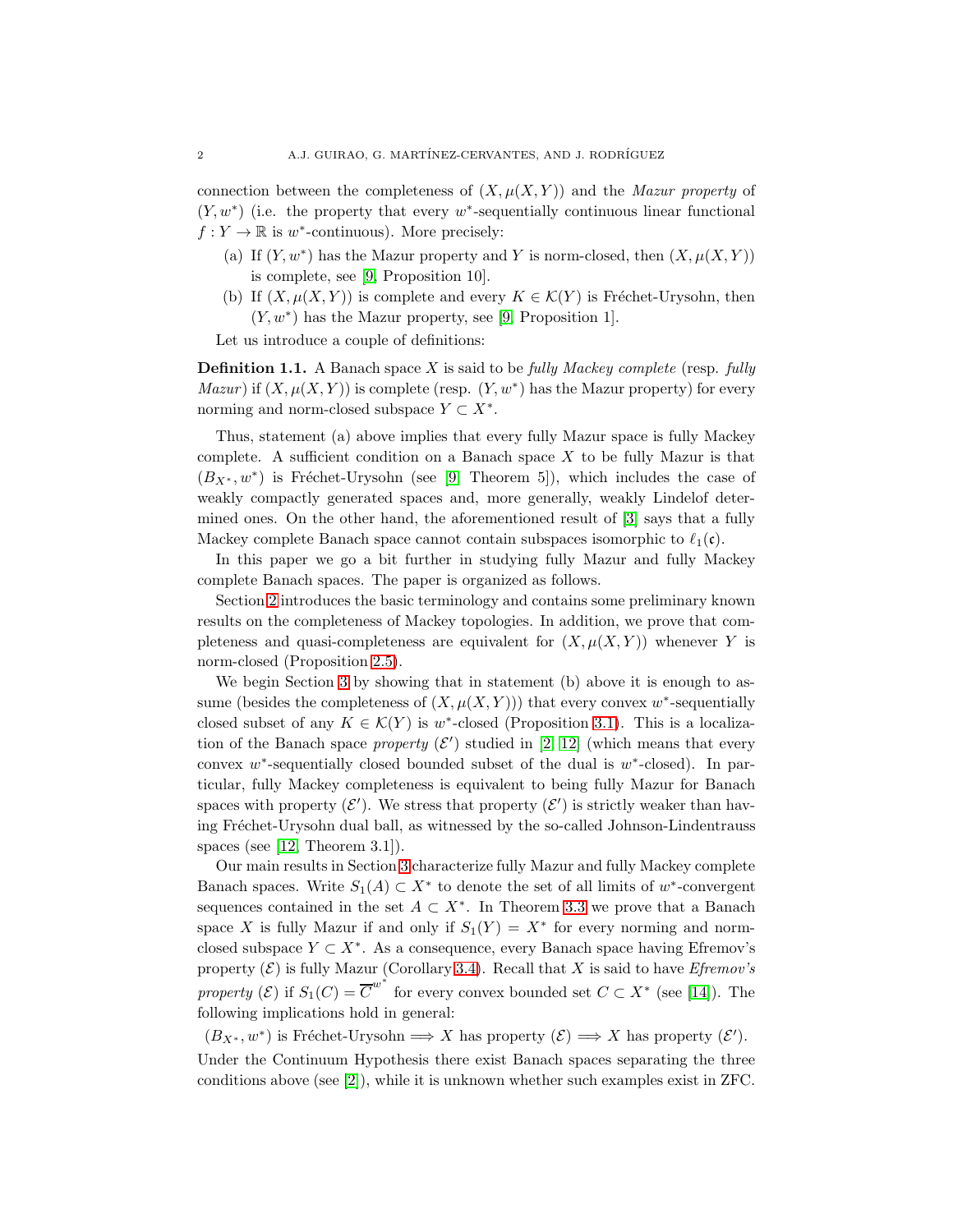connection between the completeness of  $(X, \mu(X, Y))$  and the *Mazur property* of  $(Y, w^*)$  (i.e. the property that every w<sup>\*</sup>-sequentially continuous linear functional  $f: Y \to \mathbb{R}$  is  $w^*$ -continuous). More precisely:

- (a) If  $(Y, w^*)$  has the Mazur property and Y is norm-closed, then  $(X, \mu(X, Y))$ is complete, see [\[9,](#page-14-2) Proposition 10].
- (b) If  $(X, \mu(X, Y))$  is complete and every  $K \in \mathcal{K}(Y)$  is Fréchet-Urysohn, then  $(Y, w^*)$  has the Mazur property, see [\[9,](#page-14-2) Proposition 1].

Let us introduce a couple of definitions:

Definition 1.1. A Banach space X is said to be *fully Mackey complete* (resp. *fully Mazur*) if  $(X, \mu(X, Y))$  is complete (resp.  $(Y, w^*)$  has the Mazur property) for every norming and norm-closed subspace  $Y \subset X^*$ .

Thus, statement (a) above implies that every fully Mazur space is fully Mackey complete. A sufficient condition on a Banach space  $X$  to be fully Mazur is that  $(B_{X^*}, w^*)$  is Fréchet-Urysohn (see [\[9,](#page-14-2) Theorem 5]), which includes the case of weakly compactly generated spaces and, more generally, weakly Lindelof determined ones. On the other hand, the aforementioned result of [\[3\]](#page-14-0) says that a fully Mackey complete Banach space cannot contain subspaces isomorphic to  $\ell_1(\mathfrak{c})$ .

In this paper we go a bit further in studying fully Mazur and fully Mackey complete Banach spaces. The paper is organized as follows.

Section [2](#page-3-0) introduces the basic terminology and contains some preliminary known results on the completeness of Mackey topologies. In addition, we prove that completeness and quasi-completeness are equivalent for  $(X, \mu(X, Y))$  whenever Y is norm-closed (Proposition [2.5\)](#page-4-0).

We begin Section [3](#page-5-0) by showing that in statement (b) above it is enough to assume (besides the completeness of  $(X, \mu(X, Y))$ ) that every convex w<sup>\*</sup>-sequentially closed subset of any  $K \in \mathcal{K}(Y)$  is w<sup>\*</sup>-closed (Proposition [3.1\)](#page-5-1). This is a localization of the Banach space *property*  $(\mathcal{E}')$  studied in [\[2,](#page-14-7) [12\]](#page-14-8) (which means that every convex  $w^*$ -sequentially closed bounded subset of the dual is  $w^*$ -closed). In particular, fully Mackey completeness is equivalent to being fully Mazur for Banach spaces with property  $(\mathcal{E}')$ . We stress that property  $(\mathcal{E}')$  is strictly weaker than having Fréchet-Urysohn dual ball, as witnessed by the so-called Johnson-Lindentrauss spaces (see [\[12,](#page-14-8) Theorem 3.1]).

Our main results in Section [3](#page-5-0) characterize fully Mazur and fully Mackey complete Banach spaces. Write  $S_1(A) \subset X^*$  to denote the set of all limits of w<sup>\*</sup>-convergent sequences contained in the set  $A \subset X^*$ . In Theorem [3.3](#page-5-2) we prove that a Banach space X is fully Mazur if and only if  $S_1(Y) = X^*$  for every norming and normclosed subspace  $Y \subset X^*$ . As a consequence, every Banach space having Efremov's property  $(\mathcal{E})$  is fully Mazur (Corollary [3.4\)](#page-6-0). Recall that X is said to have *Efremov's property* ( $\mathcal{E}$ ) if  $S_1(C) = \overline{C}^{w^*}$  for every convex bounded set  $C \subset X^*$  (see [\[14\]](#page-14-9)). The following implications hold in general:

 $(B_{X^*}, w^*)$  is Fréchet-Urysohn  $\Longrightarrow X$  has property  $(\mathcal{E}) \Longrightarrow X$  has property  $(\mathcal{E}')$ . Under the Continuum Hypothesis there exist Banach spaces separating the three conditions above (see [\[2\]](#page-14-7)), while it is unknown whether such examples exist in ZFC.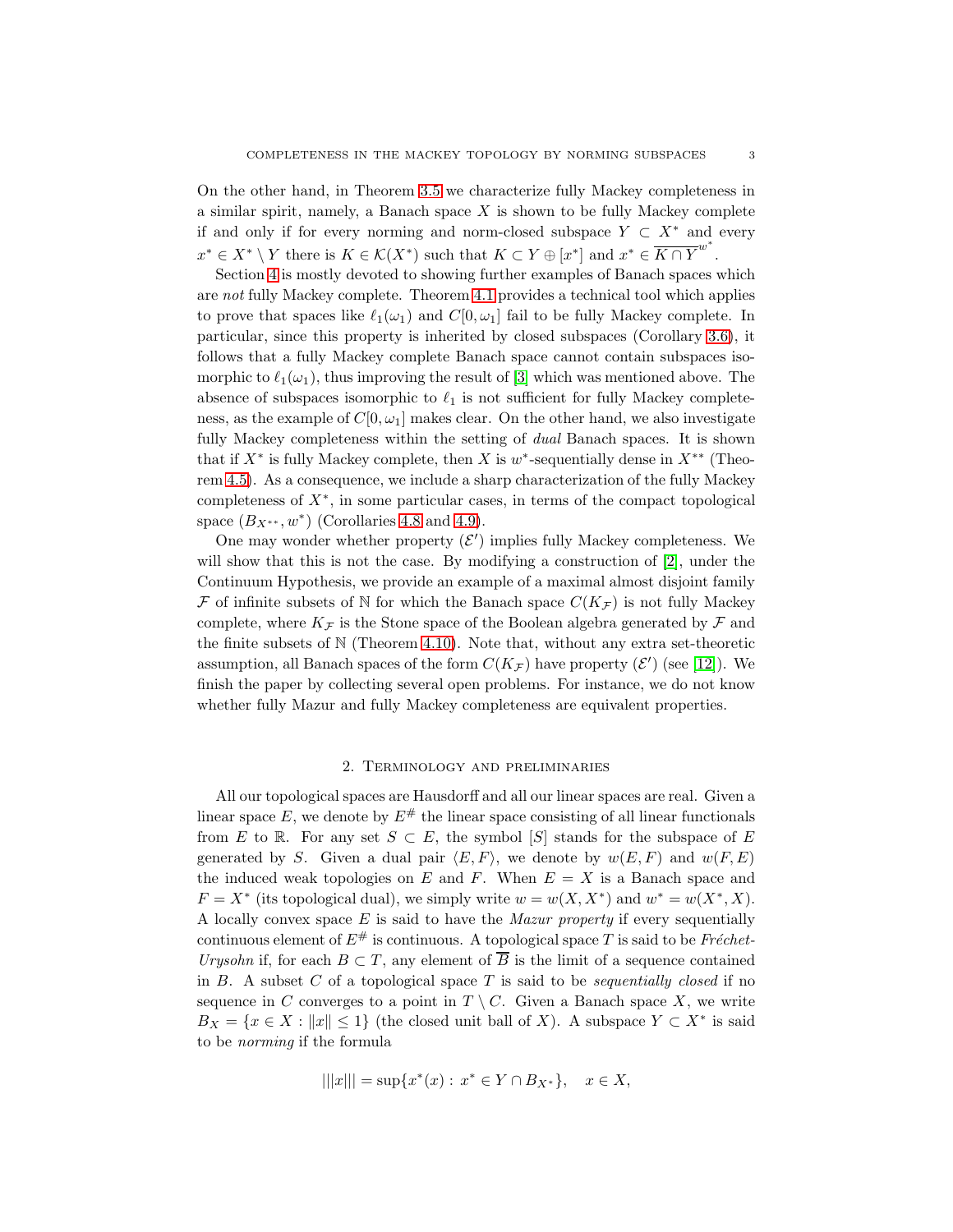On the other hand, in Theorem [3.5](#page-6-1) we characterize fully Mackey completeness in a similar spirit, namely, a Banach space  $X$  is shown to be fully Mackey complete if and only if for every norming and norm-closed subspace  $Y \subset X^*$  and every  $x^* \in X^* \setminus Y$  there is  $K \in \mathcal{K}(X^*)$  such that  $K \subset Y \oplus [x^*]$  and  $x^* \in \overline{K \cap Y}^{w^*}$ .

Section [4](#page-7-0) is mostly devoted to showing further examples of Banach spaces which are *not* fully Mackey complete. Theorem [4.1](#page-7-1) provides a technical tool which applies to prove that spaces like  $\ell_1(\omega_1)$  and  $C[0,\omega_1]$  fail to be fully Mackey complete. In particular, since this property is inherited by closed subspaces (Corollary [3.6\)](#page-7-2), it follows that a fully Mackey complete Banach space cannot contain subspaces isomorphic to  $\ell_1(\omega_1)$ , thus improving the result of [\[3\]](#page-14-0) which was mentioned above. The absence of subspaces isomorphic to  $\ell_1$  is not sufficient for fully Mackey completeness, as the example of  $C[0, \omega_1]$  makes clear. On the other hand, we also investigate fully Mackey completeness within the setting of *dual* Banach spaces. It is shown that if  $X^*$  is fully Mackey complete, then X is w<sup>\*</sup>-sequentially dense in  $X^{**}$  (Theorem [4.5\)](#page-9-0). As a consequence, we include a sharp characterization of the fully Mackey completeness of  $X^*$ , in some particular cases, in terms of the compact topological space  $(B_{X^{**}}, w^*)$  (Corollaries [4.8](#page-10-0) and [4.9\)](#page-10-1).

One may wonder whether property  $(\mathcal{E}')$  implies fully Mackey completeness. We will show that this is not the case. By modifying a construction of [\[2\]](#page-14-7), under the Continuum Hypothesis, we provide an example of a maximal almost disjoint family F of infinite subsets of N for which the Banach space  $C(K_{\mathcal{F}})$  is not fully Mackey complete, where  $K_{\mathcal{F}}$  is the Stone space of the Boolean algebra generated by  $\mathcal F$  and the finite subsets of  $N$  (Theorem [4.10\)](#page-10-2). Note that, without any extra set-theoretic assumption, all Banach spaces of the form  $C(K_{\mathcal{F}})$  have property  $(\mathcal{E}')$  (see [\[12\]](#page-14-8)). We finish the paper by collecting several open problems. For instance, we do not know whether fully Mazur and fully Mackey completeness are equivalent properties.

#### 2. Terminology and preliminaries

<span id="page-3-0"></span>All our topological spaces are Hausdorff and all our linear spaces are real. Given a linear space E, we denote by  $E^{\#}$  the linear space consisting of all linear functionals from E to R. For any set  $S \subset E$ , the symbol  $|S|$  stands for the subspace of E generated by S. Given a dual pair  $\langle E, F \rangle$ , we denote by  $w(E, F)$  and  $w(F, E)$ the induced weak topologies on E and F. When  $E = X$  is a Banach space and  $F = X^*$  (its topological dual), we simply write  $w = w(X, X^*)$  and  $w^* = w(X^*, X)$ . A locally convex space E is said to have the *Mazur property* if every sequentially continuous element of  $E^{\#}$  is continuous. A topological space T is said to be *Fréchet*-*Urysohn* if, for each  $B \subset T$ , any element of  $\overline{B}$  is the limit of a sequence contained in B. A subset C of a topological space T is said to be *sequentially closed* if no sequence in C converges to a point in  $T \setminus C$ . Given a Banach space X, we write  $B_X = \{x \in X : ||x|| \leq 1\}$  (the closed unit ball of X). A subspace  $Y \subset X^*$  is said to be *norming* if the formula

$$
|||x||| = \sup\{x^*(x) : x^* \in Y \cap B_{X^*}\}, \quad x \in X,
$$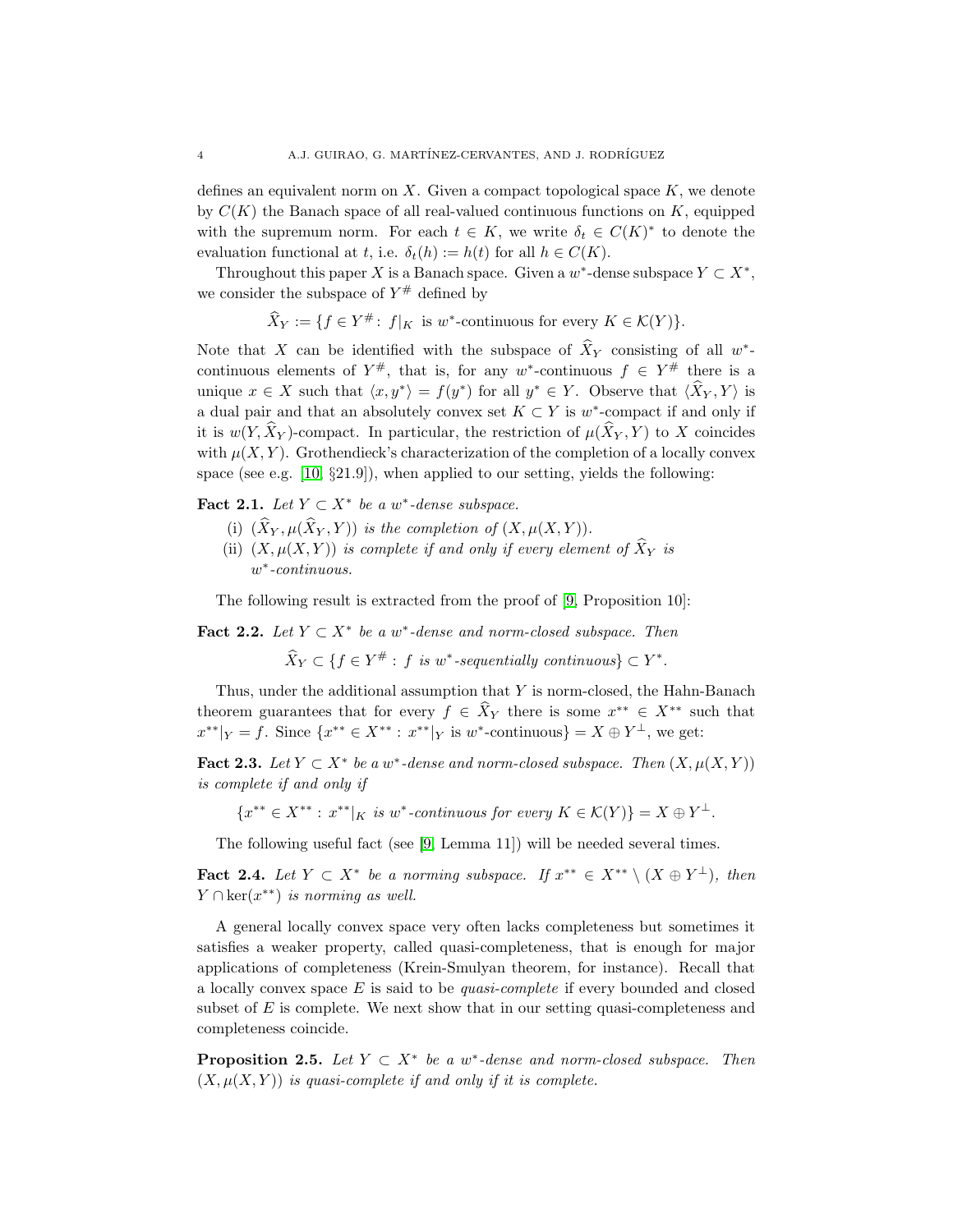defines an equivalent norm on X. Given a compact topological space  $K$ , we denote by  $C(K)$  the Banach space of all real-valued continuous functions on K, equipped with the supremum norm. For each  $t \in K$ , we write  $\delta_t \in C(K)^*$  to denote the evaluation functional at t, i.e.  $\delta_t(h) := h(t)$  for all  $h \in C(K)$ .

Throughout this paper X is a Banach space. Given a  $w^*$ -dense subspace  $Y \subset X^*$ , we consider the subspace of  $Y^{\#}$  defined by

 $\widehat{X}_Y := \{f \in Y^\# \colon f|_K \text{ is } w^* \text{-continuous for every } K \in \mathcal{K}(Y)\}.$ 

Note that X can be identified with the subspace of  $\hat{X}_Y$  consisting of all w<sup>\*</sup>continuous elements of  $Y^{\#}$ , that is, for any w<sup>\*</sup>-continuous  $f \in Y^{\#}$  there is a unique  $x \in X$  such that  $\langle x, y^* \rangle = f(y^*)$  for all  $y^* \in Y$ . Observe that  $\langle \hat{X}_Y, Y \rangle$  is a dual pair and that an absolutely convex set  $K \subset Y$  is  $w^*$ -compact if and only if it is  $w(Y, \widehat{X}_Y)$ -compact. In particular, the restriction of  $\mu(\widehat{X}_Y, Y)$  to X coincides with  $\mu(X, Y)$ . Grothendieck's characterization of the completion of a locally convex space (see e.g. [\[10,](#page-14-10) §21.9]), when applied to our setting, yields the following:

<span id="page-4-1"></span>Fact 2.1. Let  $Y \subset X^*$  be a w<sup>\*</sup>-dense subspace.

- (i)  $(\widehat{X}_Y, \mu(\widehat{X}_Y, Y))$  *is the completion of*  $(X, \mu(X, Y))$ *.*
- (ii)  $(X, \mu(X, Y))$  *is complete if and only if every element of*  $\widehat{X}_Y$  *is* w ∗ *-continuous.*

The following result is extracted from the proof of [\[9,](#page-14-2) Proposition 10]:

<span id="page-4-2"></span>Fact 2.2. Let  $Y \subset X^*$  be a w<sup>\*</sup>-dense and norm-closed subspace. Then

 $\widehat{X}_Y \subset \{f \in Y^* : f \text{ is } w^* \text{-} sequentially \text{ continuous}\} \subset Y^*.$ 

Thus, under the additional assumption that  $Y$  is norm-closed, the Hahn-Banach theorem guarantees that for every  $f \in \hat{X}_Y$  there is some  $x^{**} \in X^{**}$  such that  $x^{**}|_Y = f$ . Since  $\{x^{**} \in X^{**} : x^{**}|_Y \text{ is } w^* \text{-continuous}\} = X \oplus Y^{\perp}, \text{ we get:}$ 

Fact 2.3. Let  $Y \subset X^*$  be a w<sup>\*</sup>-dense and norm-closed subspace. Then  $(X, \mu(X, Y))$ *is complete if and only if*

 ${x^* \in X^{**} : x^{**} |_{K} \text{ is } w^* \text{-} continuous for every K \in \mathcal{K}(Y)} = X \oplus Y^{\perp}.$ 

The following useful fact (see [\[9,](#page-14-2) Lemma 11]) will be needed several times.

<span id="page-4-3"></span>**Fact 2.4.** *Let*  $Y \subset X^*$  *be a norming subspace. If*  $x^{**} \in X^{**} \setminus (X \oplus Y^{\perp})$ *, then*  $Y \cap \ker(x^{**})$  *is norming as well.* 

A general locally convex space very often lacks completeness but sometimes it satisfies a weaker property, called quasi-completeness, that is enough for major applications of completeness (Krein-Smulyan theorem, for instance). Recall that a locally convex space E is said to be *quasi-complete* if every bounded and closed subset of  $E$  is complete. We next show that in our setting quasi-completeness and completeness coincide.

<span id="page-4-0"></span>**Proposition 2.5.** Let  $Y \subset X^*$  be a w<sup>\*</sup>-dense and norm-closed subspace. Then  $(X, \mu(X, Y))$  *is quasi-complete if and only if it is complete.*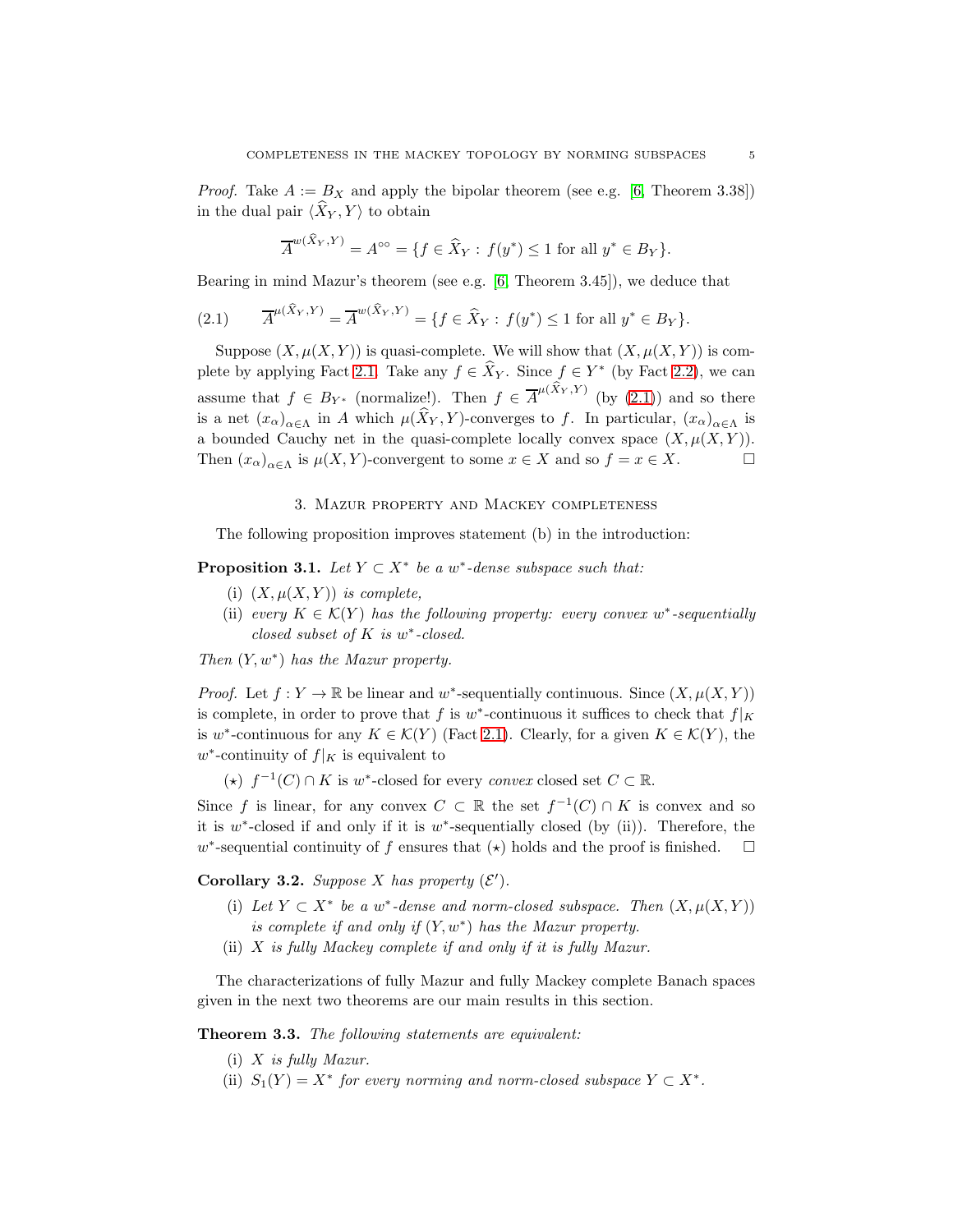*Proof.* Take  $A := B_X$  and apply the bipolar theorem (see e.g. [\[6,](#page-14-11) Theorem 3.38]) in the dual pair  $\langle X_Y, Y \rangle$  to obtain

$$
\overline{A}^{w(\widehat{X}_Y,Y)}=A^{\circ\circ}=\{f\in \widehat{X}_Y:\, f(y^*)\leq 1 \text{ for all } y^*\in B_Y\}.
$$

Bearing in mind Mazur's theorem (see e.g. [\[6,](#page-14-11) Theorem 3.45]), we deduce that

<span id="page-5-3"></span>(2.1) 
$$
\overline{A}^{\mu(\hat{X}_Y,Y)} = \overline{A}^{w(\hat{X}_Y,Y)} = \{ f \in \hat{X}_Y : f(y^*) \le 1 \text{ for all } y^* \in B_Y \}.
$$

Suppose  $(X, \mu(X, Y))$  is quasi-complete. We will show that  $(X, \mu(X, Y))$  is com-plete by applying Fact [2.1.](#page-4-1) Take any  $f \in \hat{X}_Y$ . Since  $f \in Y^*$  (by Fact [2.2\)](#page-4-2), we can assume that  $f \in B_{Y^*}$  (normalize!). Then  $f \in \overline{A}^{\mu(\tilde{X}_Y, Y)}$  (by [\(2.1\)](#page-5-3)) and so there is a net  $(x_{\alpha})_{\alpha \in \Lambda}$  in A which  $\mu(X_Y, Y)$ -converges to f. In particular,  $(x_{\alpha})_{\alpha \in \Lambda}$  is a bounded Cauchy net in the quasi-complete locally convex space  $(X, \mu(X, Y))$ . Then  $(x_{\alpha})_{\alpha \in \Lambda}$  is  $\mu(X, Y)$ -convergent to some  $x \in X$  and so  $f = x \in X$ .

## 3. Mazur property and Mackey completeness

<span id="page-5-0"></span>The following proposition improves statement (b) in the introduction:

<span id="page-5-1"></span>**Proposition 3.1.** *Let*  $Y \subset X^*$  *be a*  $w^*$ -dense subspace such that:

- (i)  $(X, \mu(X, Y))$  *is complete,*
- (ii) *every*  $K \in \mathcal{K}(Y)$  *has the following property: every convex*  $w^*$ -sequentially *closed subset of* K *is* w ∗ *-closed.*

*Then* (Y, w<sup>∗</sup> ) *has the Mazur property.*

*Proof.* Let  $f: Y \to \mathbb{R}$  be linear and w<sup>\*</sup>-sequentially continuous. Since  $(X, \mu(X, Y))$ is complete, in order to prove that f is  $w^*$ -continuous it suffices to check that  $f|_K$ is w<sup>\*</sup>-continuous for any  $K \in \mathcal{K}(Y)$  (Fact [2.1\)](#page-4-1). Clearly, for a given  $K \in \mathcal{K}(Y)$ , the  $w^*$ -continuity of  $f|_K$  is equivalent to

(★)  $f^{-1}(C) \cap K$  is w<sup>\*</sup>-closed for every *convex* closed set  $C \subset \mathbb{R}$ .

Since f is linear, for any convex  $C \subset \mathbb{R}$  the set  $f^{-1}(C) \cap K$  is convex and so it is  $w^*$ -closed if and only if it is  $w^*$ -sequentially closed (by (ii)). Therefore, the w<sup>\*</sup>-sequential continuity of f ensures that  $(\star)$  holds and the proof is finished.  $\square$ 

<span id="page-5-4"></span>Corollary 3.2. *Suppose* X has property  $(\mathcal{E}')$ .

- (i) Let  $Y \subset X^*$  be a w<sup>\*</sup>-dense and norm-closed subspace. Then  $(X, \mu(X, Y))$ *is complete if and only if* (Y, w<sup>∗</sup> ) *has the Mazur property.*
- (ii) X *is fully Mackey complete if and only if it is fully Mazur.*

The characterizations of fully Mazur and fully Mackey complete Banach spaces given in the next two theorems are our main results in this section.

<span id="page-5-2"></span>Theorem 3.3. *The following statements are equivalent:*

- (i) X *is fully Mazur.*
- (ii)  $S_1(Y) = X^*$  *for every norming and norm-closed subspace*  $Y \subset X^*$ *.*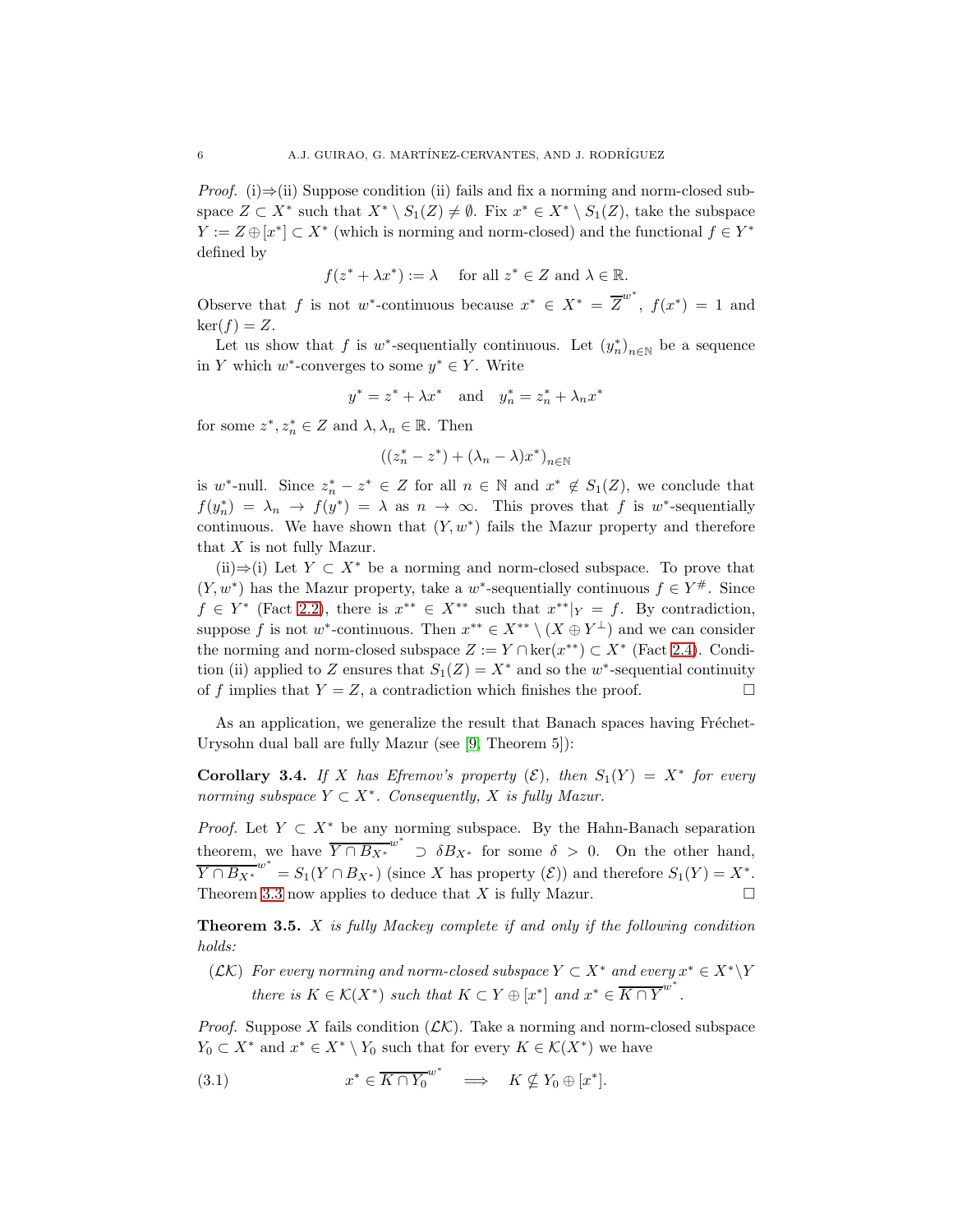*Proof.* (i) $\Rightarrow$ (ii) Suppose condition (ii) fails and fix a norming and norm-closed subspace  $Z \subset X^*$  such that  $X^* \setminus S_1(Z) \neq \emptyset$ . Fix  $x^* \in X^* \setminus S_1(Z)$ , take the subspace  $Y := Z \oplus [x^*] \subset X^*$  (which is norming and norm-closed) and the functional  $f \in Y^*$ defined by

$$
f(z^* + \lambda x^*) := \lambda
$$
 for all  $z^* \in Z$  and  $\lambda \in \mathbb{R}$ .

Observe that f is not w<sup>\*</sup>-continuous because  $x^* \in X^* = \overline{Z}^{w^*}$ ,  $f(x^*) = 1$  and  $\ker(f) = Z$ .

Let us show that f is w<sup>\*</sup>-sequentially continuous. Let  $(y_n^*)_{n\in\mathbb{N}}$  be a sequence in Y which  $w^*$ -converges to some  $y^* \in Y$ . Write

$$
y^* = z^* + \lambda x^*
$$
 and  $y_n^* = z_n^* + \lambda_n x^*$ 

for some  $z^*, z_n^* \in Z$  and  $\lambda, \lambda_n \in \mathbb{R}$ . Then

$$
\big((z_n^*-z^*)+(\lambda_n-\lambda)x^*\big)_{n\in\mathbb{N}}
$$

is w<sup>\*</sup>-null. Since  $z_n^* - z^* \in Z$  for all  $n \in \mathbb{N}$  and  $x^* \notin S_1(Z)$ , we conclude that  $f(y_n^*) = \lambda_n \to f(y^*) = \lambda \text{ as } n \to \infty.$  This proves that f is w\*-sequentially continuous. We have shown that  $(Y, w^*)$  fails the Mazur property and therefore that  $X$  is not fully Mazur.

(ii)⇒(i) Let  $Y \subset X^*$  be a norming and norm-closed subspace. To prove that  $(Y, w^*)$  has the Mazur property, take a w<sup>\*</sup>-sequentially continuous  $f \in Y^{\#}$ . Since  $f \in Y^*$  (Fact [2.2\)](#page-4-2), there is  $x^{**} \in X^{**}$  such that  $x^{**}|_Y = f$ . By contradiction, suppose f is not w<sup>\*</sup>-continuous. Then  $x^{**} \in X^{**} \setminus (X \oplus Y^{\perp})$  and we can consider the norming and norm-closed subspace  $Z := Y \cap \text{ker}(x^{**}) \subset X^*$  (Fact [2.4\)](#page-4-3). Condition (ii) applied to Z ensures that  $S_1(Z) = X^*$  and so the w<sup>\*</sup>-sequential continuity of f implies that  $Y = Z$ , a contradiction which finishes the proof.

As an application, we generalize the result that Banach spaces having Fréchet-Urysohn dual ball are fully Mazur (see [\[9,](#page-14-2) Theorem 5]):

<span id="page-6-0"></span>**Corollary 3.4.** If X has Efremov's property  $(\mathcal{E})$ , then  $S_1(Y) = X^*$  for every *norming subspace*  $Y \subset X^*$ *. Consequently,*  $X$  *is fully Mazur.* 

*Proof.* Let  $Y \subset X^*$  be any norming subspace. By the Hahn-Banach separation theorem, we have  $\overline{Y \cap B_{X^*}}^{w^*} \supset \delta B_{X^*}$  for some  $\delta > 0$ . On the other hand,  $\overline{Y \cap B_{X^*}}^{w^*} = S_1(Y \cap B_{X^*})$  (since X has property  $(\mathcal{E})$ ) and therefore  $S_1(Y) = X^*$ . Theorem [3.3](#page-5-2) now applies to deduce that X is fully Mazur.

<span id="page-6-1"></span>Theorem 3.5. X *is fully Mackey complete if and only if the following condition holds:*

 $(\mathcal{LK})$  *For every norming and norm-closed subspace*  $Y \subset X^*$  *and every*  $x^* \in X^* \backslash Y$ *there is*  $K \in \mathcal{K}(X^*)$  *such that*  $K \subset Y \oplus [x^*]$  *and*  $x^* \in \overline{K \cap Y}^{w^*}$ .

*Proof.* Suppose X fails condition  $(LK)$ . Take a norming and norm-closed subspace  $Y_0 \subset X^*$  and  $x^* \in X^* \setminus Y_0$  such that for every  $K \in \mathcal{K}(X^*)$  we have

<span id="page-6-2"></span>(3.1) 
$$
x^* \in \overline{K \cap Y_0}^{w^*} \implies K \nsubseteq Y_0 \oplus [x^*].
$$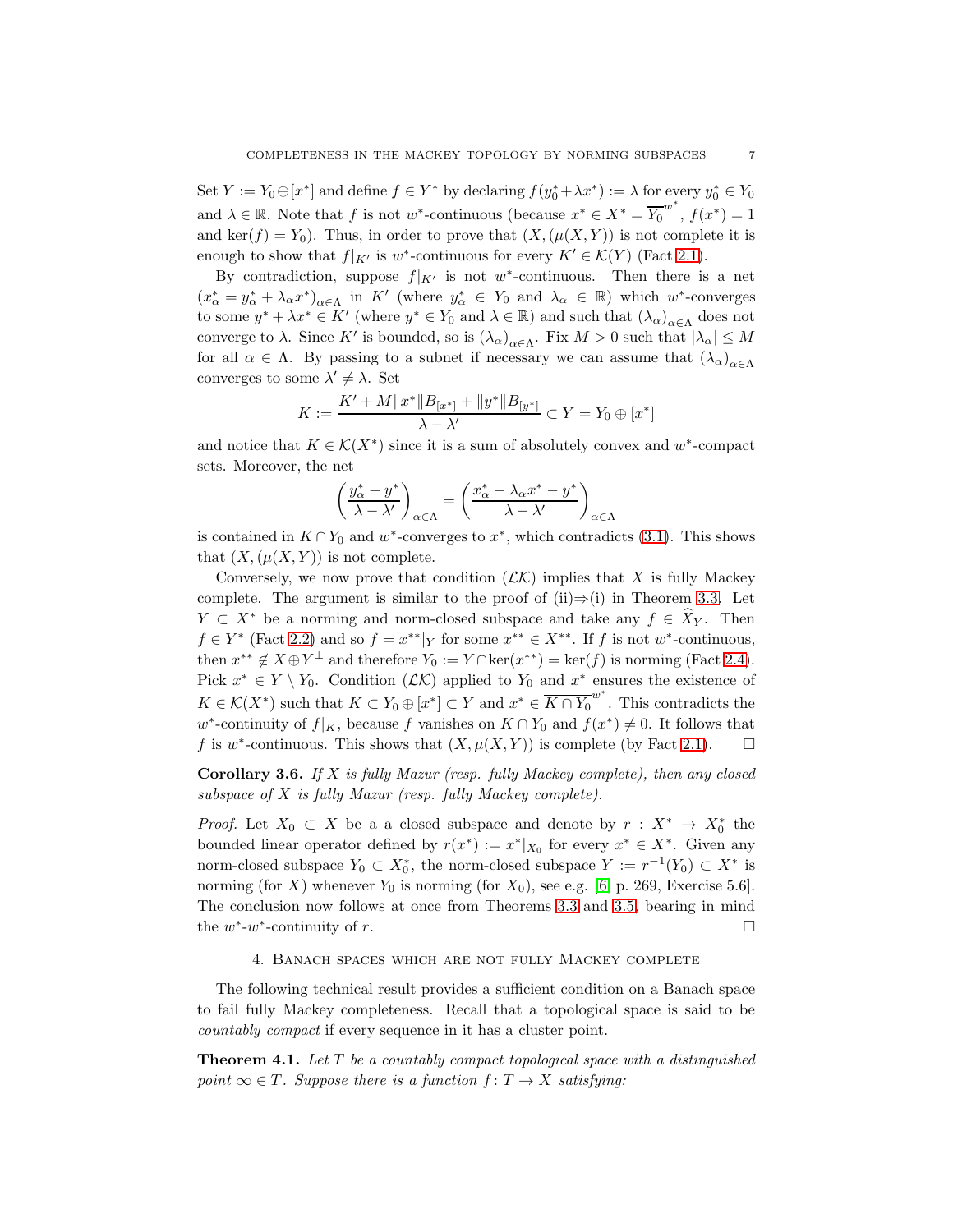Set  $Y := Y_0 \oplus [x^*]$  and define  $f \in Y^*$  by declaring  $f(y_0^* + \lambda x^*) := \lambda$  for every  $y_0^* \in Y_0$ and  $\lambda \in \mathbb{R}$ . Note that f is not w\*-continuous (because  $x^* \in X^* = \overline{Y_0}^{w^*}$ ,  $f(x^*) = 1$ and ker(f) =  $Y_0$ ). Thus, in order to prove that  $(X, (\mu(X, Y))$  is not complete it is enough to show that  $f|_{K'}$  is w<sup>\*</sup>-continuous for every  $K' \in \mathcal{K}(Y)$  (Fact [2.1\)](#page-4-1).

By contradiction, suppose  $f|_{K'}$  is not w<sup>\*</sup>-continuous. Then there is a net  $(x_{\alpha}^* = y_{\alpha}^* + \lambda_{\alpha} x^*)_{\alpha \in \Lambda}$  in K' (where  $y_{\alpha}^* \in Y_0$  and  $\lambda_{\alpha} \in \mathbb{R}$ ) which  $w^*$ -converges to some  $y^* + \lambda x^* \in K'$  (where  $y^* \in Y_0$  and  $\lambda \in \mathbb{R}$ ) and such that  $(\lambda_\alpha)_{\alpha \in \Lambda}$  does not converge to  $\lambda$ . Since K' is bounded, so is  $(\lambda_{\alpha})_{\alpha \in \Lambda}$ . Fix  $M > 0$  such that  $|\lambda_{\alpha}| \leq M$ for all  $\alpha \in \Lambda$ . By passing to a subnet if necessary we can assume that  $(\lambda_{\alpha})_{\alpha \in \Lambda}$ converges to some  $\lambda' \neq \lambda$ . Set

$$
K := \frac{K' + M \|x^*\|B_{[x^*]} + \|y^*\|B_{[y^*]}}{\lambda - \lambda'} \subset Y = Y_0 \oplus [x^*]
$$

and notice that  $K \in \mathcal{K}(X^*)$  since it is a sum of absolutely convex and w<sup>\*</sup>-compact sets. Moreover, the net

$$
\left(\frac{y_{\alpha}^* - y^*}{\lambda - \lambda'}\right)_{\alpha \in \Lambda} = \left(\frac{x_{\alpha}^* - \lambda_{\alpha}x^* - y^*}{\lambda - \lambda'}\right)_{\alpha \in \Lambda}
$$

is contained in  $K \cap Y_0$  and w<sup>\*</sup>-converges to  $x^*$ , which contradicts [\(3.1\)](#page-6-2). This shows that  $(X, (\mu(X, Y))$  is not complete.

Conversely, we now prove that condition  $(LK)$  implies that X is fully Mackey complete. The argument is similar to the proof of  $(ii) \Rightarrow (i)$  in Theorem [3.3.](#page-5-2) Let  $Y \subset X^*$  be a norming and norm-closed subspace and take any  $f \in X_Y$ . Then  $f \in Y^*$  (Fact [2.2\)](#page-4-2) and so  $f = x^{**}|_Y$  for some  $x^{**} \in X^{**}$ . If f is not w<sup>\*</sup>-continuous, then  $x^{**} \notin X \oplus Y^{\perp}$  and therefore  $Y_0 := Y \cap \ker(x^{**}) = \ker(f)$  is norming (Fact [2.4\)](#page-4-3). Pick  $x^* \in Y \setminus Y_0$ . Condition  $(L\mathcal{K})$  applied to  $Y_0$  and  $x^*$  ensures the existence of  $K \in \mathcal{K}(X^*)$  such that  $K \subset Y_0 \oplus [x^*] \subset Y$  and  $x^* \in \overline{K \cap Y_0}^{w^*}$ . This contradicts the w<sup>\*</sup>-continuity of  $f|_K$ , because f vanishes on  $K \cap Y_0$  and  $f(x^*) \neq 0$ . It follows that f is w<sup>\*</sup>-continuous. This shows that  $(X, \mu(X, Y))$  is complete (by Fact [2.1\)](#page-4-1).  $\square$ 

<span id="page-7-2"></span>Corollary 3.6. *If* X *is fully Mazur (resp. fully Mackey complete), then any closed subspace of* X *is fully Mazur (resp. fully Mackey complete).*

*Proof.* Let  $X_0 \subset X$  be a a closed subspace and denote by  $r : X^* \to X_0^*$  the bounded linear operator defined by  $r(x^*) := x^*|_{X_0}$  for every  $x^* \in X^*$ . Given any norm-closed subspace  $Y_0 \subset X_0^*$ , the norm-closed subspace  $Y := r^{-1}(Y_0) \subset X^*$  is norming (for X) whenever  $Y_0$  is norming (for  $X_0$ ), see e.g. [\[6,](#page-14-11) p. 269, Exercise 5.6]. The conclusion now follows at once from Theorems [3.3](#page-5-2) and [3.5,](#page-6-1) bearing in mind the  $w^*$ - $w^*$ -continuity of r.

#### 4. Banach spaces which are not fully Mackey complete

<span id="page-7-0"></span>The following technical result provides a sufficient condition on a Banach space to fail fully Mackey completeness. Recall that a topological space is said to be *countably compact* if every sequence in it has a cluster point.

<span id="page-7-1"></span>Theorem 4.1. *Let* T *be a countably compact topological space with a distinguished point*  $\infty \in T$ *. Suppose there is a function*  $f: T \to X$  *satisfying:*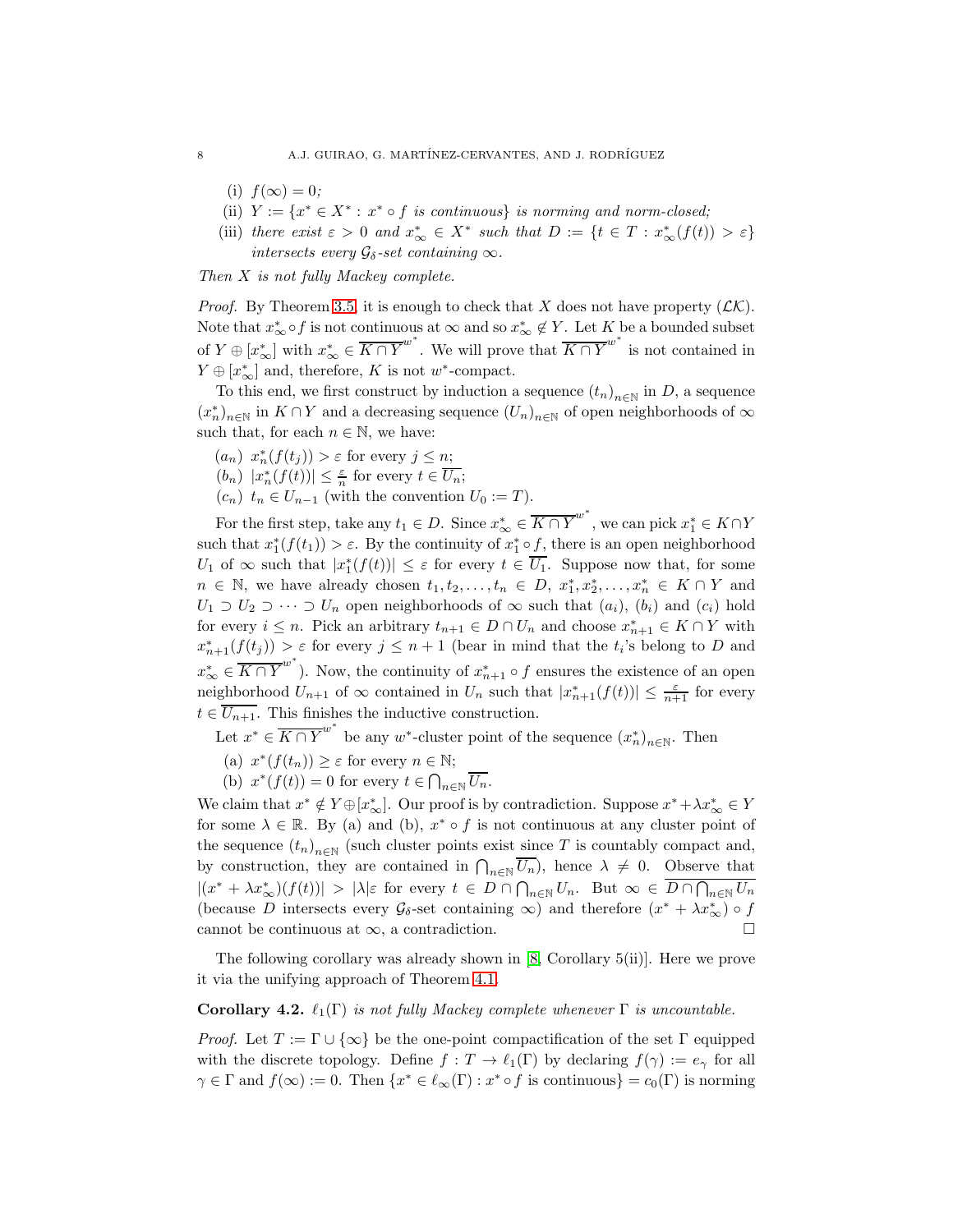- (i)  $f(\infty) = 0$ ;
- (ii)  $Y := \{x^* \in X^* : x^* \circ f \text{ is continuous}\}\$ is norming and norm-closed;
- (iii) *there exist*  $\varepsilon > 0$  *and*  $x_{\infty}^* \in X^*$  *such that*  $D := \{t \in T : x_{\infty}^*(f(t)) > \varepsilon\}$ *intersects every*  $\mathcal{G}_{\delta}$ -set containing  $\infty$ *.*

*Then* X *is not fully Mackey complete.*

*Proof.* By Theorem [3.5,](#page-6-1) it is enough to check that X does not have property  $(LK)$ . Note that  $x^*_{\infty} \circ f$  is not continuous at  $\infty$  and so  $x^*_{\infty} \notin Y$ . Let K be a bounded subset of  $Y \oplus [x^*_{\infty}]$  with  $x^*_{\infty} \in \overline{K \cap Y}^{w^*}$ . We will prove that  $\overline{K \cap Y}^{w^*}$  is not contained in  $Y \oplus [x^*_{\infty}]$  and, therefore, K is not w<sup>\*</sup>-compact.

To this end, we first construct by induction a sequence  $(t_n)_{n\in\mathbb{N}}$  in D, a sequence  $(x_n^*)_{{n \in \mathbb{N}}}$  in  $K \cap Y$  and a decreasing sequence  $(U_n)_{n \in \mathbb{N}}$  of open neighborhoods of  $\infty$ such that, for each  $n \in \mathbb{N}$ , we have:

- $(a_n)$   $x_n^*(f(t_j)) > \varepsilon$  for every  $j \leq n$ ;
- $(b_n)$   $|x_n^*(f(t))| \leq \frac{\varepsilon}{n}$  for every  $t \in \overline{U_n}$ ;
- $(c_n)$   $t_n \in U_{n-1}$  (with the convention  $U_0 := T$ ).

For the first step, take any  $t_1 \in D$ . Since  $x^*_{\infty} \in \overline{K \cap Y}^{w^*}$ , we can pick  $x^*_{1} \in K \cap Y$ such that  $x_1^*(f(t_1)) > \varepsilon$ . By the continuity of  $x_1^* \circ f$ , there is an open neighborhood  $U_1$  of  $\infty$  such that  $|x_1^*(f(t))| \leq \varepsilon$  for every  $t \in \overline{U_1}$ . Suppose now that, for some  $n \in \mathbb{N}$ , we have already chosen  $t_1, t_2, \ldots, t_n \in D, x_1^*, x_2^*, \ldots, x_n^* \in K \cap Y$  and  $U_1 \supset U_2 \supset \cdots \supset U_n$  open neighborhoods of  $\infty$  such that  $(a_i)$ ,  $(b_i)$  and  $(c_i)$  hold for every  $i \leq n$ . Pick an arbitrary  $t_{n+1} \in D \cap U_n$  and choose  $x_{n+1}^* \in K \cap Y$  with  $x_{n+1}^*(f(t_j)) > \varepsilon$  for every  $j \leq n+1$  (bear in mind that the  $t_i$ 's belong to D and  $x_{\infty}^* \in \overline{K \cap Y}^{w^*}$ ). Now, the continuity of  $x_{n+1}^* \circ f$  ensures the existence of an open neighborhood  $U_{n+1}$  of  $\infty$  contained in  $U_n$  such that  $|x_{n+1}^*(f(t))| \leq \frac{\varepsilon}{n+1}$  for every  $t \in \overline{U_{n+1}}$ . This finishes the inductive construction.

- Let  $x^* \in \overline{K \cap Y}^{w^*}$  be any  $w^*$ -cluster point of the sequence  $(x_n^*)_{n \in \mathbb{N}}$ . Then
- (a)  $x^*(f(t_n)) \geq \varepsilon$  for every  $n \in \mathbb{N}$ ;
- (b)  $x^*(f(t)) = 0$  for every  $t \in \bigcap_{n \in \mathbb{N}} \overline{U_n}$ .

We claim that  $x^* \notin Y \oplus [x^*_{\infty}]$ . Our proof is by contradiction. Suppose  $x^* + \lambda x^*_{\infty} \in Y$ for some  $\lambda \in \mathbb{R}$ . By (a) and (b),  $x^* \circ f$  is not continuous at any cluster point of the sequence  $(t_n)_{n\in\mathbb{N}}$  (such cluster points exist since T is countably compact and, by construction, they are contained in  $\bigcap_{n\in\mathbb{N}}\overline{U_n}$ , hence  $\lambda \neq 0$ . Observe that  $|(x^* + \lambda x^*_{\infty})(f(t))| > |\lambda|\varepsilon$  for every  $t \in D \cap \bigcap_{n\in\mathbb{N}} U_n$ . But  $\infty \in \overline{D \cap \bigcap_{n\in\mathbb{N}} U_n}$ (because D intersects every  $\mathcal{G}_{\delta}$ -set containing  $\infty$ ) and therefore  $(x^* + \lambda x^*_{\infty}) \circ f$ cannot be continuous at  $\infty$ , a contradiction.

The following corollary was already shown in [\[8,](#page-14-1) Corollary 5(ii)]. Here we prove it via the unifying approach of Theorem [4.1.](#page-7-1)

<span id="page-8-0"></span>Corollary 4.2.  $\ell_1(\Gamma)$  *is not fully Mackey complete whenever*  $\Gamma$  *is uncountable.* 

*Proof.* Let  $T := \Gamma \cup \{\infty\}$  be the one-point compactification of the set  $\Gamma$  equipped with the discrete topology. Define  $f: T \to \ell_1(\Gamma)$  by declaring  $f(\gamma) := e_\gamma$  for all  $\gamma \in \Gamma$  and  $f(\infty) := 0$ . Then  $\{x^* \in \ell_\infty(\Gamma) : x^* \circ f$  is continuous $\} = c_0(\Gamma)$  is norming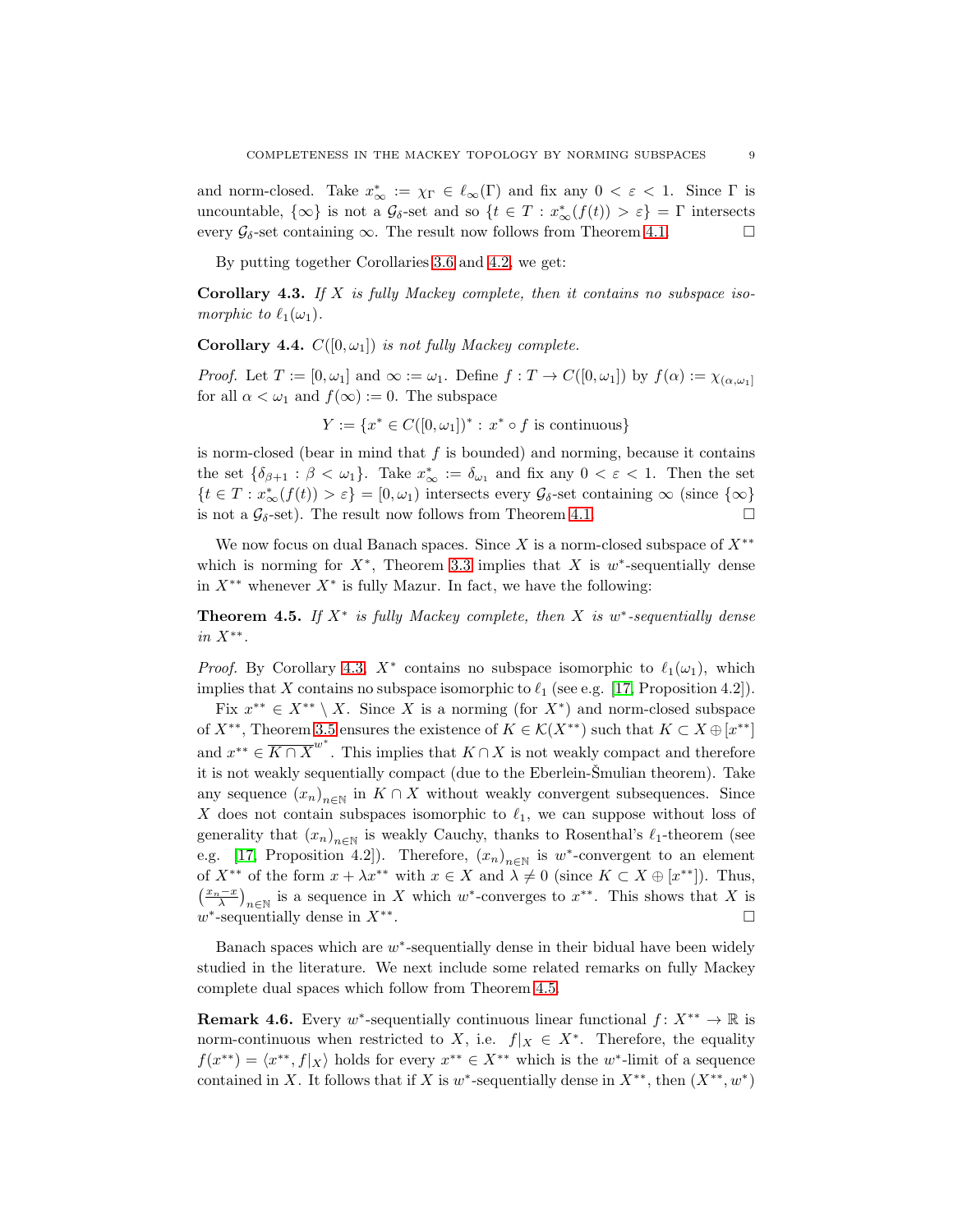and norm-closed. Take  $x^*_{\infty} := \chi_{\Gamma} \in \ell_{\infty}(\Gamma)$  and fix any  $0 < \varepsilon < 1$ . Since  $\Gamma$  is uncountable,  $\{\infty\}$  is not a  $\mathcal{G}_{\delta}$ -set and so  $\{t \in T : x^*_{\infty}(f(t)) > \varepsilon\} = \Gamma$  intersects every  $\mathcal{G}_{\delta}$ -set containing  $\infty$ . The result now follows from Theorem [4.1.](#page-7-1)

By putting together Corollaries [3.6](#page-7-2) and [4.2,](#page-8-0) we get:

<span id="page-9-1"></span>Corollary 4.3. *If* X *is fully Mackey complete, then it contains no subspace isomorphic to*  $\ell_1(\omega_1)$ *.* 

**Corollary 4.4.**  $C([0,\omega_1])$  *is not fully Mackey complete.* 

*Proof.* Let  $T := [0, \omega_1]$  and  $\infty := \omega_1$ . Define  $f : T \to C([0, \omega_1])$  by  $f(\alpha) := \chi_{(\alpha, \omega_1]}$ for all  $\alpha < \omega_1$  and  $f(\infty) := 0$ . The subspace

 $Y := \{x^* \in C([0, \omega_1])^* : x^* \circ f \text{ is continuous}\}\$ 

is norm-closed (bear in mind that  $f$  is bounded) and norming, because it contains the set  $\{\delta_{\beta+1} : \beta < \omega_1\}$ . Take  $x^*_{\infty} := \delta_{\omega_1}$  and fix any  $0 < \varepsilon < 1$ . Then the set  $\{t \in T : x^*_{\infty}(f(t)) > \varepsilon\} = [0, \omega_1)$  intersects every  $\mathcal{G}_{\delta}$ -set containing  $\infty$  (since  $\{\infty\}$ ) is not a  $\mathcal{G}_{\delta}$ -set). The result now follows from Theorem [4.1.](#page-7-1)

We now focus on dual Banach spaces. Since X is a norm-closed subspace of  $X^{**}$ which is norming for  $X^*$ , Theorem [3.3](#page-5-2) implies that X is w<sup>\*</sup>-sequentially dense in  $X^{**}$  whenever  $X^*$  is fully Mazur. In fact, we have the following:

<span id="page-9-0"></span>**Theorem 4.5.** If  $X^*$  is fully Mackey complete, then  $X$  is  $w^*$ -sequentially dense *in* X∗∗ *.*

*Proof.* By Corollary [4.3,](#page-9-1)  $X^*$  contains no subspace isomorphic to  $\ell_1(\omega_1)$ , which implies that X contains no subspace isomorphic to  $\ell_1$  (see e.g. [\[17,](#page-14-12) Proposition 4.2]).

Fix  $x^{**} \in X^{**} \setminus X$ . Since X is a norming (for  $X^*$ ) and norm-closed subspace of  $X^{**}$ , Theorem [3.5](#page-6-1) ensures the existence of  $K \in \mathcal{K}(X^{**})$  such that  $K \subset X \oplus [x^{**}]$ and  $x^{**} \in \overline{K \cap X}^{w^*}$ . This implies that  $K \cap X$  is not weakly compact and therefore it is not weakly sequentially compact (due to the Eberlein-Šmulian theorem). Take any sequence  $(x_n)_{n\in\mathbb{N}}$  in  $K\cap X$  without weakly convergent subsequences. Since X does not contain subspaces isomorphic to  $\ell_1$ , we can suppose without loss of generality that  $(x_n)_{n\in\mathbb{N}}$  is weakly Cauchy, thanks to Rosenthal's  $\ell_1$ -theorem (see e.g. [\[17,](#page-14-12) Proposition 4.2]). Therefore,  $(x_n)_{n\in\mathbb{N}}$  is w<sup>\*</sup>-convergent to an element of  $X^{**}$  of the form  $x + \lambda x^{**}$  with  $x \in X$  and  $\lambda \neq 0$  (since  $K \subset X \oplus [x^{**}]$ ). Thus,  $\left(\frac{x_n-x}{\lambda}\right)_{n\in\mathbb{N}}$  is a sequence in X which w<sup>\*</sup>-converges to  $x^{**}$ . This shows that X is  $w^*$ -sequentially dense in  $X^{**}$ . В последните поставите на селото на селото на селото на селото на селото на селото на селото на селото на се<br>Селото на селото на селото на селото на селото на селото на селото на селото на селото на селото на селото на

Banach spaces which are  $w^*$ -sequentially dense in their bidual have been widely studied in the literature. We next include some related remarks on fully Mackey complete dual spaces which follow from Theorem [4.5.](#page-9-0)

**Remark 4.6.** Every w<sup>\*</sup>-sequentially continuous linear functional  $f: X^{**} \to \mathbb{R}$  is norm-continuous when restricted to X, i.e.  $f|_X \in X^*$ . Therefore, the equality  $f(x^{**}) = \langle x^{**}, f | x \rangle$  holds for every  $x^{**} \in X^{**}$  which is the w<sup>\*</sup>-limit of a sequence contained in X. It follows that if X is  $w^*$ -sequentially dense in  $X^{**}$ , then  $(X^{**}, w^*)$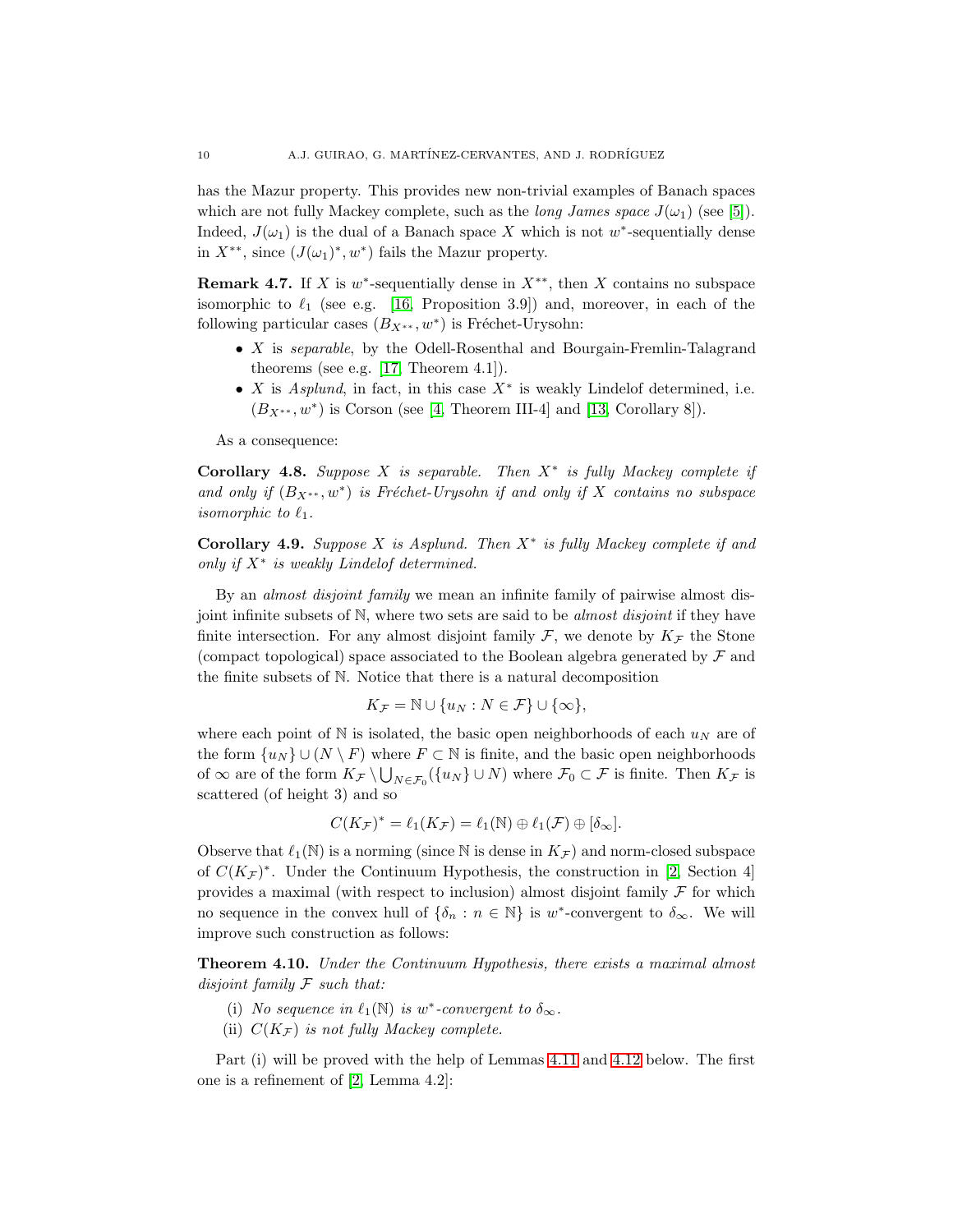has the Mazur property. This provides new non-trivial examples of Banach spaces which are not fully Mackey complete, such as the *long James space*  $J(\omega_1)$  (see [\[5\]](#page-14-13)). Indeed,  $J(\omega_1)$  is the dual of a Banach space X which is not w<sup>\*</sup>-sequentially dense in  $X^{**}$ , since  $(J(\omega_1)^*, w^*)$  fails the Mazur property.

<span id="page-10-3"></span>**Remark 4.7.** If X is  $w^*$ -sequentially dense in  $X^{**}$ , then X contains no subspace isomorphic to  $\ell_1$  (see e.g. [\[16,](#page-14-14) Proposition 3.9]) and, moreover, in each of the following particular cases  $(B_{X^{**}}, w^*)$  is Fréchet-Urysohn:

- X is *separable*, by the Odell-Rosenthal and Bourgain-Fremlin-Talagrand theorems (see e.g. [\[17,](#page-14-12) Theorem 4.1]).
- X is  $Asplund$ , in fact, in this case  $X^*$  is weakly Lindelof determined, i.e.  $(B_{X^{**}}, w^*)$  is Corson (see [\[4,](#page-14-15) Theorem III-4] and [\[13,](#page-14-16) Corollary 8]).

As a consequence:

<span id="page-10-0"></span>Corollary 4.8. *Suppose* X *is separable. Then* X<sup>∗</sup> *is fully Mackey complete if* and only if  $(B_{X^{**}}, w^*)$  is Fréchet-Urysohn if and only if X contains no subspace *isomorphic to*  $\ell_1$ *.* 

<span id="page-10-1"></span>Corollary 4.9. *Suppose* X *is Asplund. Then* X<sup>∗</sup> *is fully Mackey complete if and only if* X<sup>∗</sup> *is weakly Lindelof determined.*

By an *almost disjoint family* we mean an infinite family of pairwise almost disjoint infinite subsets of N, where two sets are said to be *almost disjoint* if they have finite intersection. For any almost disjoint family  $\mathcal{F}$ , we denote by  $K_{\mathcal{F}}$  the Stone (compact topological) space associated to the Boolean algebra generated by  $\mathcal F$  and the finite subsets of N. Notice that there is a natural decomposition

$$
K_{\mathcal{F}} = \mathbb{N} \cup \{u_N : N \in \mathcal{F}\} \cup \{\infty\},\
$$

where each point of N is isolated, the basic open neighborhoods of each  $u_N$  are of the form  $\{u_N\} \cup (N \setminus F)$  where  $F \subset \mathbb{N}$  is finite, and the basic open neighborhoods of  $\infty$  are of the form  $K_{\mathcal{F}} \setminus \bigcup_{N \in \mathcal{F}_0} (\{u_N\} \cup N)$  where  $\mathcal{F}_0 \subset \mathcal{F}$  is finite. Then  $K_{\mathcal{F}}$  is scattered (of height 3) and so

$$
C(K_{\mathcal{F}})^* = \ell_1(K_{\mathcal{F}}) = \ell_1(\mathbb{N}) \oplus \ell_1(\mathcal{F}) \oplus [\delta_{\infty}].
$$

Observe that  $\ell_1(N)$  is a norming (since N is dense in  $K_{\mathcal{F}}$ ) and norm-closed subspace of  $C(K_{\mathcal{F}})^*$ . Under the Continuum Hypothesis, the construction in [\[2,](#page-14-7) Section 4] provides a maximal (with respect to inclusion) almost disjoint family  $\mathcal F$  for which no sequence in the convex hull of  $\{\delta_n : n \in \mathbb{N}\}\$ is w<sup>\*</sup>-convergent to  $\delta_{\infty}$ . We will improve such construction as follows:

<span id="page-10-2"></span>Theorem 4.10. *Under the Continuum Hypothesis, there exists a maximal almost disjoint family* F *such that:*

- (i) *No sequence in*  $\ell_1(\mathbb{N})$  *is* w\*-convergent to  $\delta_{\infty}$ .
- (ii)  $C(K_{\mathcal{F}})$  *is not fully Mackey complete.*

Part (i) will be proved with the help of Lemmas [4.11](#page-11-0) and [4.12](#page-12-0) below. The first one is a refinement of [\[2,](#page-14-7) Lemma 4.2]: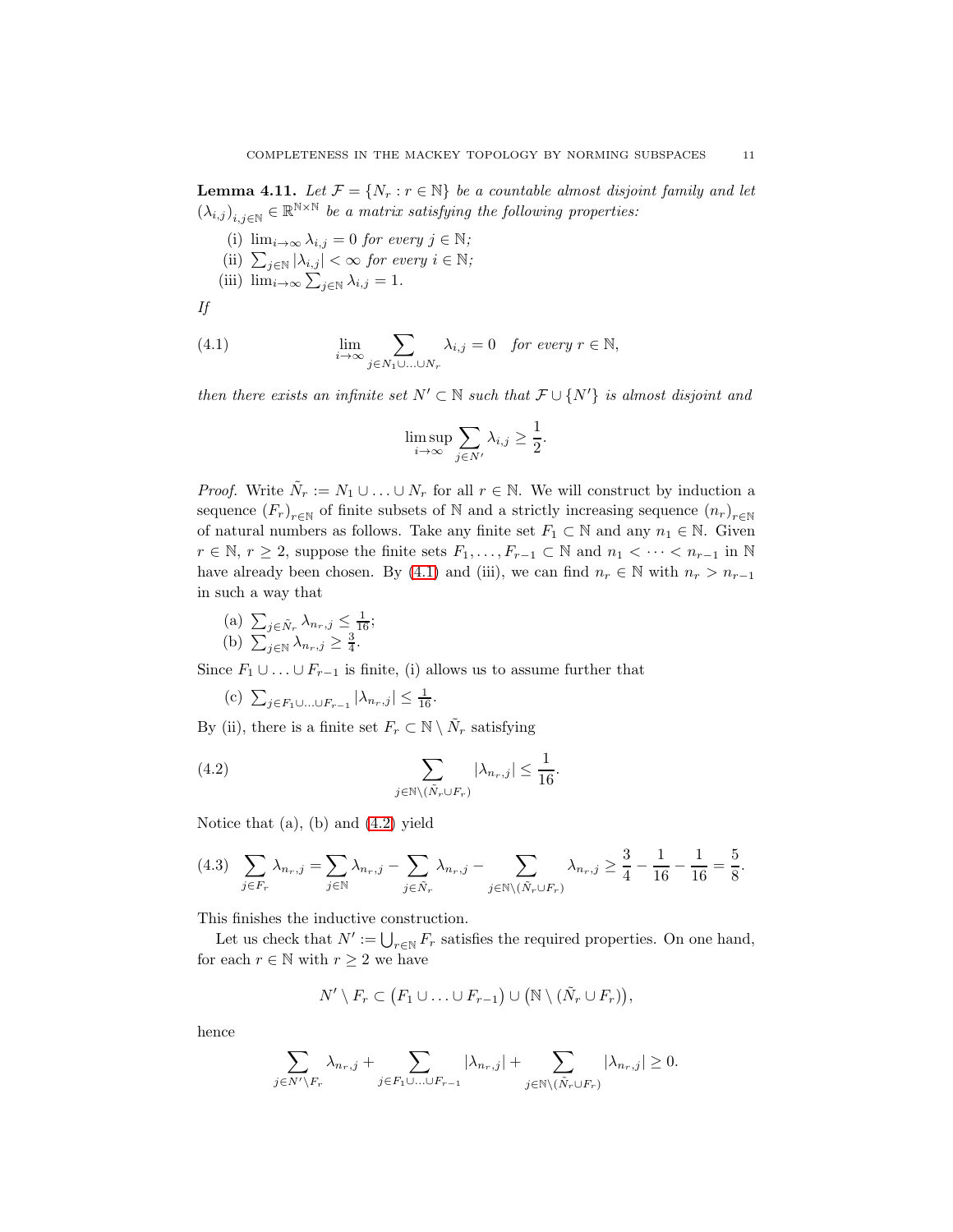<span id="page-11-0"></span>**Lemma 4.11.** Let  $\mathcal{F} = \{N_r : r \in \mathbb{N}\}\$ be a countable almost disjoint family and let  $(\lambda_{i,j})_{i,j\in\mathbb{N}}\in\mathbb{R}^{\mathbb{N}\times\mathbb{N}}$  *be a matrix satisfying the following properties:* 

(i)  $\lim_{i\to\infty}\lambda_{i,j}=0$  *for every*  $j\in\mathbb{N}$ ; (ii)  $\sum_{j \in \mathbb{N}} |\lambda_{i,j}| < \infty$  for every  $i \in \mathbb{N}$ ; (iii)  $\lim_{i\to\infty}\sum_{j\in\mathbb{N}}\lambda_{i,j}=1$ .

*If*

(4.1) 
$$
\lim_{i \to \infty} \sum_{j \in N_1 \cup ... \cup N_r} \lambda_{i,j} = 0 \text{ for every } r \in \mathbb{N},
$$

*then there exists an infinite set*  $N' \subset \mathbb{N}$  *such that*  $\mathcal{F} \cup \{N'\}$  *is almost disjoint and* 

<span id="page-11-1"></span>
$$
\limsup_{i \to \infty} \sum_{j \in N'} \lambda_{i,j} \ge \frac{1}{2}.
$$

*Proof.* Write  $\tilde{N}_r := N_1 \cup \ldots \cup N_r$  for all  $r \in \mathbb{N}$ . We will construct by induction a sequence  $(F_r)_{r \in \mathbb{N}}$  of finite subsets of N and a strictly increasing sequence  $(n_r)_{r \in \mathbb{N}}$ of natural numbers as follows. Take any finite set  $F_1 \subset \mathbb{N}$  and any  $n_1 \in \mathbb{N}$ . Given  $r \in \mathbb{N}, r \geq 2$ , suppose the finite sets  $F_1, \ldots, F_{r-1} \subset \mathbb{N}$  and  $n_1 < \cdots < n_{r-1}$  in  $\mathbb{N}$ have already been chosen. By [\(4.1\)](#page-11-1) and (iii), we can find  $n_r \in \mathbb{N}$  with  $n_r > n_{r-1}$ in such a way that

(a) 
$$
\sum_{j \in \tilde{N}_r} \lambda_{n_r, j} \le \frac{1}{16};
$$
  
(b)  $\sum_{j \in \mathbb{N}} \lambda_{n_r, j} \ge \frac{3}{4}.$ 

Since  $F_1 \cup \ldots \cup F_{r-1}$  is finite, (i) allows us to assume further that

<span id="page-11-2"></span>(c)  $\sum_{j \in F_1 \cup ... \cup F_{r-1}} |\lambda_{n_r,j}| \leq \frac{1}{16}.$ 

By (ii), there is a finite set  $F_r \subset \mathbb{N} \setminus \tilde{N}_r$  satisfying

(4.2) 
$$
\sum_{j \in \mathbb{N} \setminus (\tilde{N}_r \cup F_r)} |\lambda_{n_r,j}| \leq \frac{1}{16}.
$$

Notice that (a), (b) and [\(4.2\)](#page-11-2) yield

<span id="page-11-3"></span>
$$
(4.3)\quad \sum_{j\in F_r} \lambda_{n_r,j} = \sum_{j\in \mathbb{N}} \lambda_{n_r,j} - \sum_{j\in \tilde{N}_r} \lambda_{n_r,j} - \sum_{j\in \mathbb{N}\backslash (\tilde{N}_r\cup F_r)} \lambda_{n_r,j} \ge \frac{3}{4} - \frac{1}{16} - \frac{1}{16} = \frac{5}{8}.
$$

This finishes the inductive construction.

Let us check that  $N' := \bigcup_{r \in \mathbb{N}} F_r$  satisfies the required properties. On one hand, for each  $r \in \mathbb{N}$  with  $r \geq 2$  we have

$$
N' \setminus F_r \subset (F_1 \cup \ldots \cup F_{r-1}) \cup (\mathbb{N} \setminus (\tilde{N}_r \cup F_r)),
$$

hence

$$
\sum_{j \in N' \backslash F_r} \lambda_{n_r,j} + \sum_{j \in F_1 \cup \ldots \cup F_{r-1}} |\lambda_{n_r,j}| + \sum_{j \in \mathbb{N} \backslash (\tilde{N}_r \cup F_r)} |\lambda_{n_r,j}| \ge 0.
$$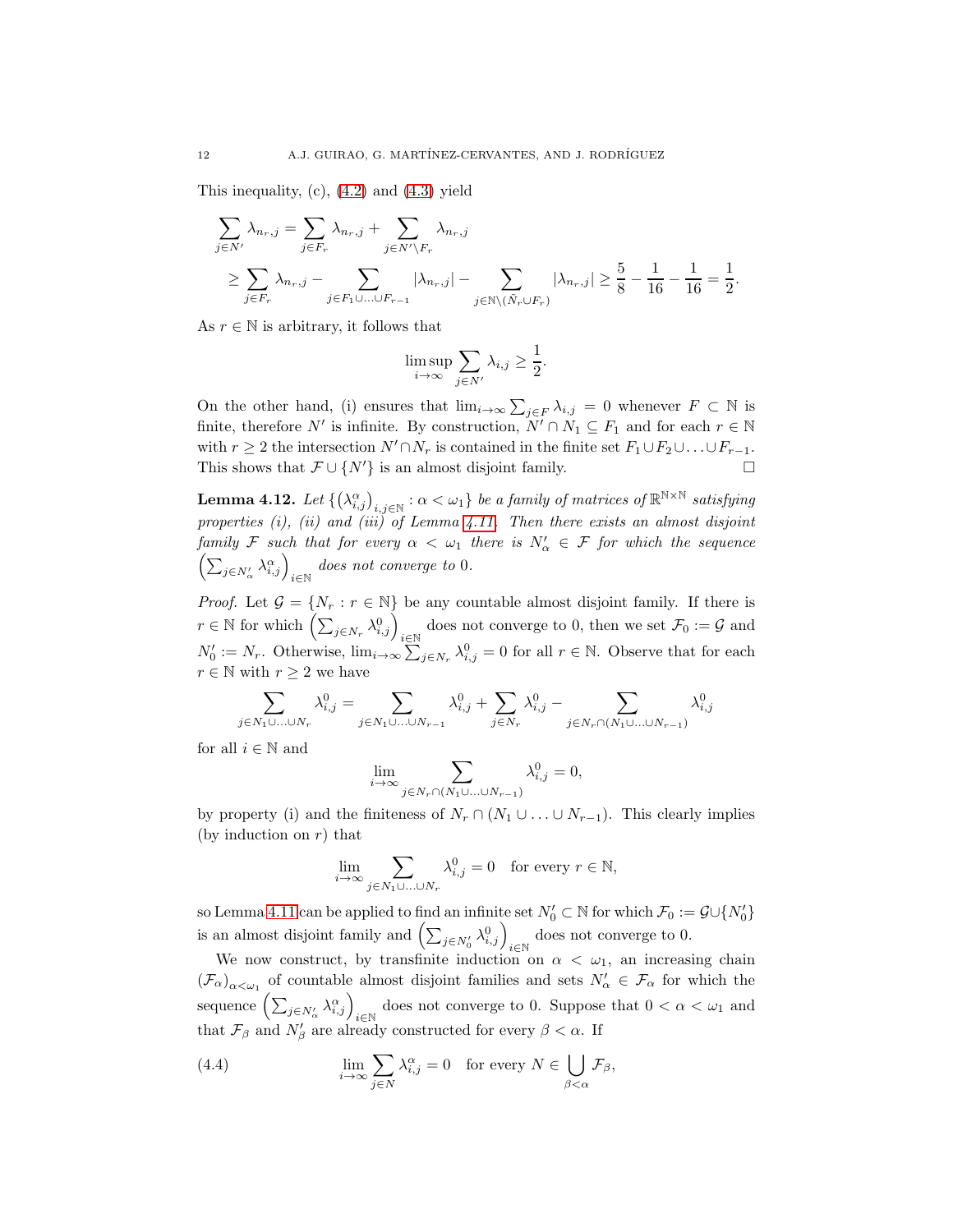This inequality,  $(c)$ ,  $(4.2)$  and  $(4.3)$  yield

$$
\sum_{j \in N'} \lambda_{n_r,j} = \sum_{j \in F_r} \lambda_{n_r,j} + \sum_{j \in N' \backslash F_r} \lambda_{n_r,j}
$$
\n
$$
\geq \sum_{j \in F_r} \lambda_{n_r,j} - \sum_{j \in F_1 \cup \ldots \cup F_{r-1}} |\lambda_{n_r,j}| - \sum_{j \in \mathbb{N} \backslash (\tilde{N}_r \cup F_r)} |\lambda_{n_r,j}| \geq \frac{5}{8} - \frac{1}{16} - \frac{1}{16} = \frac{1}{2}.
$$

As  $r \in \mathbb{N}$  is arbitrary, it follows that

$$
\limsup_{i \to \infty} \sum_{j \in N'} \lambda_{i,j} \ge \frac{1}{2}.
$$

On the other hand, (i) ensures that  $\lim_{i\to\infty}\sum_{j\in F}\lambda_{i,j}=0$  whenever  $F\subset\mathbb{N}$  is finite, therefore  $N'$  is infinite. By construction,  $N' \cap N_1 \subseteq F_1$  and for each  $r \in \mathbb{N}$ with  $r \geq 2$  the intersection  $N' \cap N_r$  is contained in the finite set  $F_1 \cup F_2 \cup \ldots \cup F_{r-1}$ . This shows that  $\mathcal{F} \cup \{N'\}$  is an almost disjoint family.  $\Box$ 

<span id="page-12-0"></span> ${\bf Lemma \ 4.12.} \ \ Let\ \{\big(\lambda^\alpha_{i,j}\big)_{i,j\in \mathbb{N}}: \alpha<\omega_1\} \ be \ a \ family \ of \ matrices \ of \ \mathbb{R}^{\mathbb{N}\times\mathbb{N}} \ satisfying$ *properties (i), (ii) and (iii) of Lemma [4.11.](#page-11-0) Then there exists an almost disjoint family* F such that for every  $\alpha < \omega_1$  there is  $N'_\alpha \in F$  for which the sequence  $\left(\sum_{j\in N'_\alpha}\lambda_{i,j}^\alpha\right)_{i\in\mathbb{N}}$  does not converge to 0.

*Proof.* Let  $\mathcal{G} = \{N_r : r \in \mathbb{N}\}\$ be any countable almost disjoint family. If there is  $r \in \mathbb{N}$  for which  $\left(\sum_{j \in N_r} \lambda_{i,j}^0\right)_{i \in \mathbb{N}}$  does not converge to 0, then we set  $\mathcal{F}_0 := \mathcal{G}$  and  $N'_0 := N_r$ . Otherwise,  $\lim_{i \to \infty} \sum_{j \in N_r} \lambda_{i,j}^0 = 0$  for all  $r \in \mathbb{N}$ . Observe that for each  $r \in \mathbb{N}$  with  $r \geq 2$  we have

$$
\sum_{j\in N_1\cup\ldots\cup N_r}\lambda_{i,j}^0=\sum_{j\in N_1\cup\ldots\cup N_{r-1}}\lambda_{i,j}^0+\sum_{j\in N_r}\lambda_{i,j}^0-\sum_{j\in N_r\cap (N_1\cup\ldots\cup N_{r-1})}\lambda_{i,j}^0
$$

for all  $i \in \mathbb{N}$  and

$$
\lim_{i \to \infty} \sum_{j \in N_r \cap (N_1 \cup \ldots \cup N_{r-1})} \lambda_{i,j}^0 = 0,
$$

by property (i) and the finiteness of  $N_r \cap (N_1 \cup \ldots \cup N_{r-1})$ . This clearly implies (by induction on  $r$ ) that

$$
\lim_{i \to \infty} \sum_{j \in N_1 \cup \ldots \cup N_r} \lambda_{i,j}^0 = 0 \quad \text{for every } r \in \mathbb{N},
$$

so Lemma [4.11](#page-11-0) can be applied to find an infinite set  $N'_0 \subset \mathbb{N}$  for which  $\mathcal{F}_0 := \mathcal{G} \cup \{N'_0\}$ is an almost disjoint family and  $\left(\sum_{j\in N'_0} \lambda_{i,j}^0\right)_{i\in\mathbb{N}}$  does not converge to 0.

We now construct, by transfinite induction on  $\alpha < \omega_1$ , an increasing chain  $(\mathcal{F}_{\alpha})_{\alpha<\omega_1}$  of countable almost disjoint families and sets  $N'_{\alpha}\in\mathcal{F}_{\alpha}$  for which the sequence  $\left(\sum_{j\in N'_\alpha}\lambda_{i,j}^\alpha\right)_{i\in\mathbb{N}}$  does not converge to 0. Suppose that  $0 < \alpha < \omega_1$  and that  $\mathcal{F}_{\beta}$  and  $N'_{\beta}$  are already constructed for every  $\beta < \alpha$ . If

<span id="page-12-1"></span>(4.4) 
$$
\lim_{i \to \infty} \sum_{j \in N} \lambda_{i,j}^{\alpha} = 0 \text{ for every } N \in \bigcup_{\beta < \alpha} \mathcal{F}_{\beta},
$$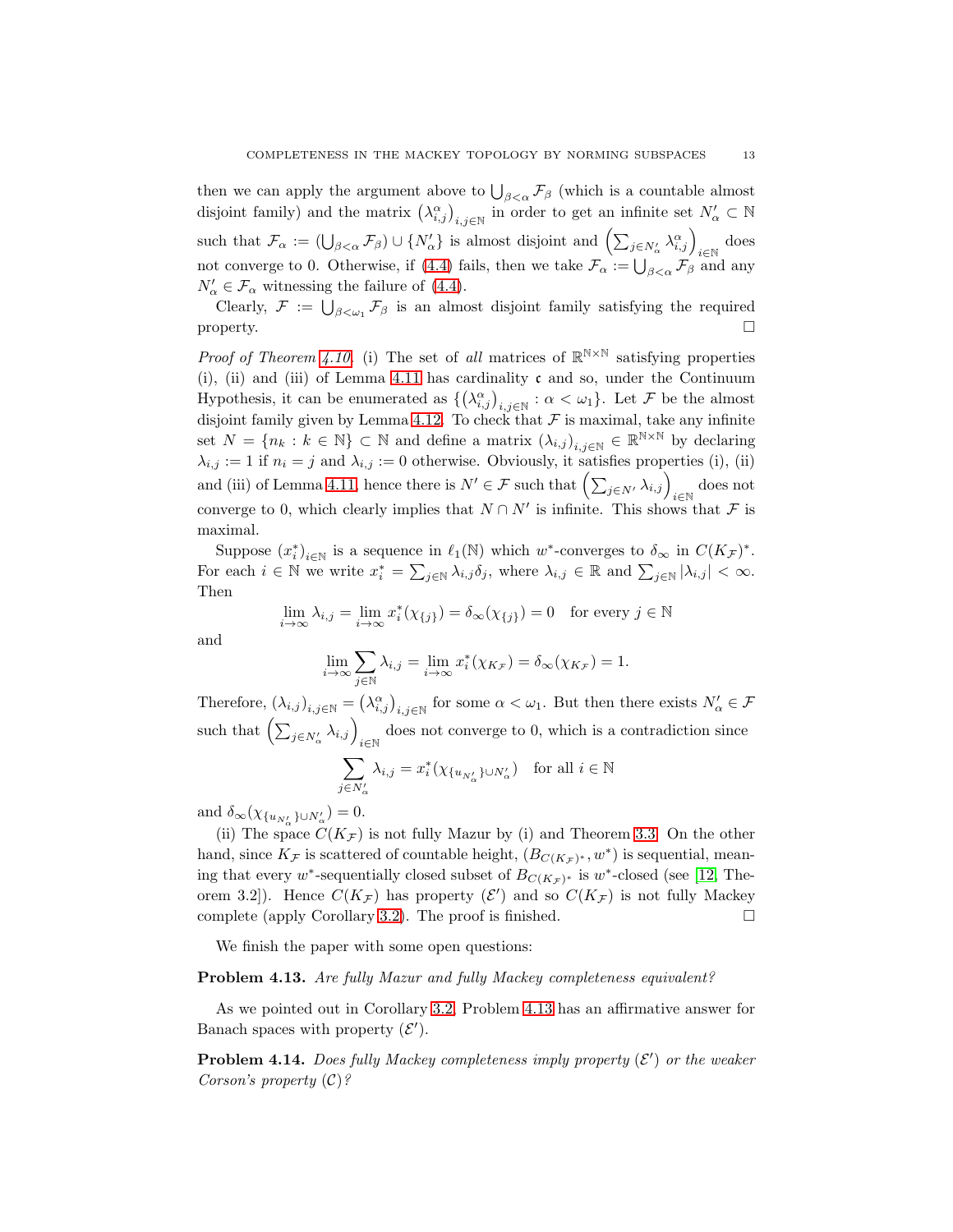then we can apply the argument above to  $\bigcup_{\beta<\alpha} \mathcal{F}_{\beta}$  (which is a countable almost disjoint family) and the matrix  $(\lambda_{i,j}^{\alpha})_{i,j\in\mathbb{N}}$  in order to get an infinite set  $N'_{\alpha}\subset\mathbb{N}$ such that  $\mathcal{F}_{\alpha} := (\bigcup_{\beta < \alpha} \mathcal{F}_{\beta}) \cup \{N'_{\alpha}\}\$ is almost disjoint and  $\left(\sum_{j \in N'_{\alpha}} \lambda_{i,j}^{\alpha}\right)_{i \in \mathbb{N}}$  does not converge to 0. Otherwise, if [\(4.4\)](#page-12-1) fails, then we take  $\mathcal{F}_{\alpha} := \bigcup_{\beta < \alpha} \mathcal{F}_{\beta}$  and any  $N'_{\alpha} \in \mathcal{F}_{\alpha}$  witnessing the failure of [\(4.4\)](#page-12-1).

Clearly,  $\mathcal{F} := \bigcup_{\beta < \omega_1} \mathcal{F}_\beta$  is an almost disjoint family satisfying the required property.  $\square$ 

*Proof of Theorem [4.10.](#page-10-2)* (i) The set of *all* matrices of  $\mathbb{R}^{N\times N}$  satisfying properties (i), (ii) and (iii) of Lemma [4.11](#page-11-0) has cardinality  $\mathfrak c$  and so, under the Continuum Hypothesis, it can be enumerated as  $\{(\lambda_{i,j}^{\alpha})_{i,j\in\mathbb{N}} : \alpha < \omega_1\}$ . Let F be the almost disjoint family given by Lemma [4.12.](#page-12-0) To check that  $\mathcal F$  is maximal, take any infinite set  $N = \{n_k : k \in \mathbb{N}\}\subset \mathbb{N}$  and define a matrix  $(\lambda_{i,j})_{i,j\in\mathbb{N}} \in \mathbb{R}^{\mathbb{N}\times\mathbb{N}}$  by declaring  $\lambda_{i,j} := 1$  if  $n_i = j$  and  $\lambda_{i,j} := 0$  otherwise. Obviously, it satisfies properties (i), (ii) and (iii) of Lemma [4.11,](#page-11-0) hence there is  $N' \in \mathcal{F}$  such that  $\left(\sum_{j \in N'} \lambda_{i,j}\right)_{i \in \mathbb{N}}$  does not converge to 0, which clearly implies that  $N \cap N'$  is infinite. This shows that  $\mathcal F$  is maximal.

Suppose  $(x_i^*)_{i \in \mathbb{N}}$  is a sequence in  $\ell_1(\mathbb{N})$  which w<sup>\*</sup>-converges to  $\delta_\infty$  in  $C(K_{\mathcal{F}})^*$ . For each  $i \in \mathbb{N}$  we write  $x_i^* = \sum_{j \in \mathbb{N}} \lambda_{i,j} \delta_j$ , where  $\lambda_{i,j} \in \mathbb{R}$  and  $\sum_{j \in \mathbb{N}} |\lambda_{i,j}| < \infty$ . Then

$$
\lim_{i \to \infty} \lambda_{i,j} = \lim_{i \to \infty} x_i^*(\chi_{\{j\}}) = \delta_\infty(\chi_{\{j\}}) = 0 \text{ for every } j \in \mathbb{N}
$$

and

$$
\lim_{i \to \infty} \sum_{j \in \mathbb{N}} \lambda_{i,j} = \lim_{i \to \infty} x_i^*(\chi_{K_{\mathcal{F}}}) = \delta_\infty(\chi_{K_{\mathcal{F}}}) = 1.
$$

Therefore,  $(\lambda_{i,j})_{i,j\in\mathbb{N}} = (\lambda_{i,j}^{\alpha})_{i,j\in\mathbb{N}}$  for some  $\alpha < \omega_1$ . But then there exists  $N'_{\alpha} \in \mathcal{F}$ such that  $\left(\sum_{j\in N'_\alpha}\lambda_{i,j}\right)_{i\in\mathbb{N}}$  does not converge to 0, which is a contradiction since

$$
\sum_{j \in N'_\alpha} \lambda_{i,j} = x_i^* (\chi_{\{u_{N'_\alpha}\}\cup N'_\alpha}) \text{ for all } i \in \mathbb{N}
$$

and  $\delta_{\infty}(\chi_{\{u_{N'_{\alpha}}\}\cup N'_{\alpha}})=0.$ 

(ii) The space  $C(K_{\mathcal{F}})$  is not fully Mazur by (i) and Theorem [3.3.](#page-5-2) On the other hand, since  $K_{\mathcal{F}}$  is scattered of countable height,  $(B_{C(K_{\mathcal{F}})^*}, w^*)$  is sequential, meaning that every w<sup>\*</sup>-sequentially closed subset of  $B_{C(K_{\mathcal{F}})^*}$  is w<sup>\*</sup>-closed (see [\[12,](#page-14-8) Theorem 3.2]). Hence  $C(K_{\mathcal{F}})$  has property  $(\mathcal{E}')$  and so  $C(K_{\mathcal{F}})$  is not fully Mackey complete (apply Corollary [3.2\)](#page-5-4). The proof is finished.  $\square$ 

We finish the paper with some open questions:

## <span id="page-13-0"></span>Problem 4.13. *Are fully Mazur and fully Mackey completeness equivalent?*

As we pointed out in Corollary [3.2,](#page-5-4) Problem [4.13](#page-13-0) has an affirmative answer for Banach spaces with property  $(\mathcal{E}')$ .

Problem 4.14. *Does fully Mackey completeness imply property* ( $\mathcal{E}'$ ) or the weaker *Corson's property* (C)*?*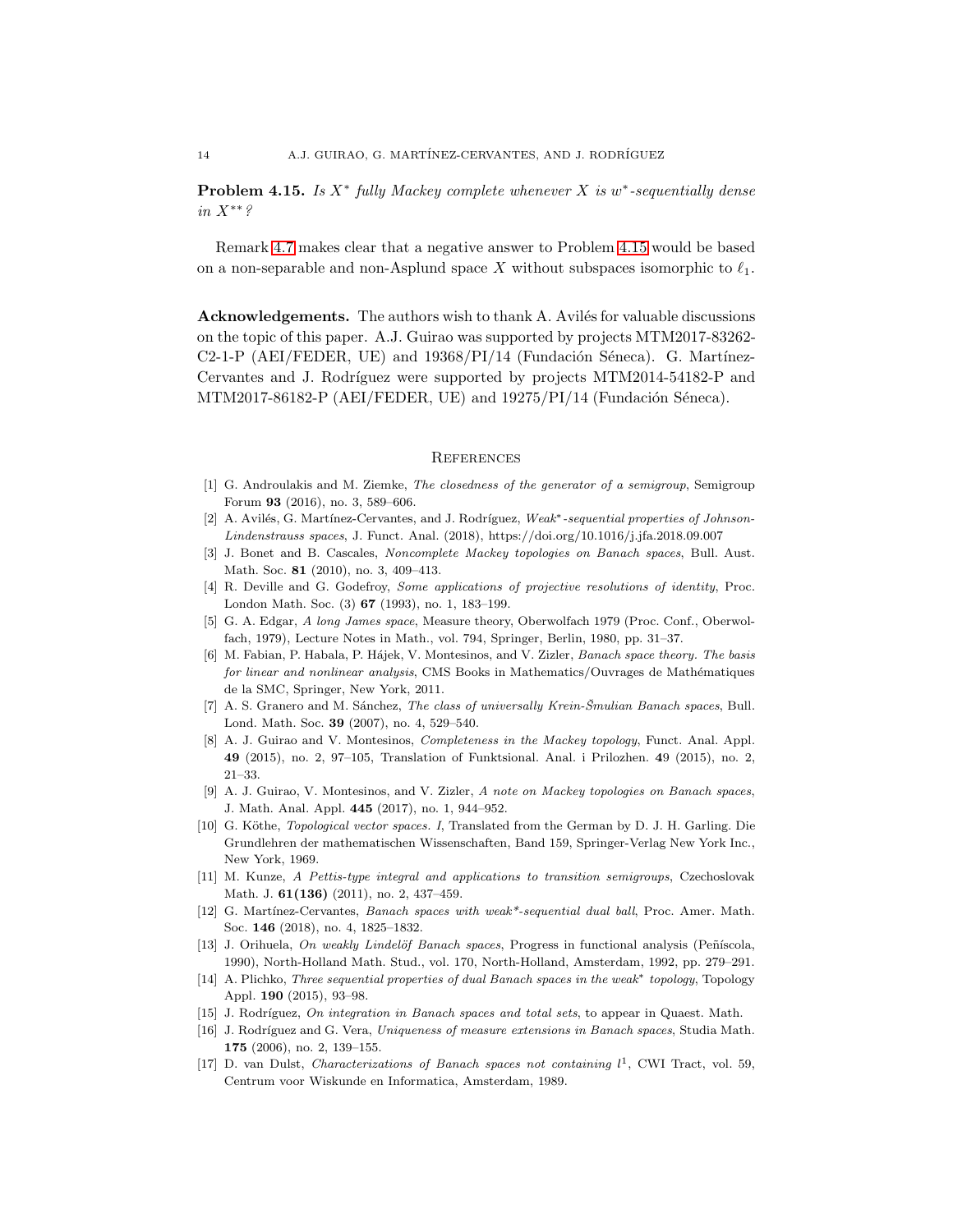<span id="page-14-17"></span>Problem 4.15. *Is* X<sup>∗</sup> *fully Mackey complete whenever* X *is* w ∗ *-sequentially dense in* X∗∗*?*

Remark [4.7](#page-10-3) makes clear that a negative answer to Problem [4.15](#page-14-17) would be based on a non-separable and non-Asplund space X without subspaces isomorphic to  $\ell_1$ .

Acknowledgements. The authors wish to thank A. Avilés for valuable discussions on the topic of this paper. A.J. Guirao was supported by projects MTM2017-83262-  $C2-1-P$  (AEI/FEDER, UE) and  $19368/PI/14$  (Fundación Séneca). G. Martínez-Cervantes and J. Rodríguez were supported by projects MTM2014-54182-P and MTM2017-86182-P (AEI/FEDER, UE) and  $19275/PI/14$  (Fundación Séneca).

#### **REFERENCES**

- <span id="page-14-4"></span>[1] G. Androulakis and M. Ziemke, The closedness of the generator of a semigroup, Semigroup Forum 93 (2016), no. 3, 589–606.
- <span id="page-14-7"></span>[2] A. Avilés, G. Martínez-Cervantes, and J. Rodríguez, Weak<sup>\*</sup>-sequential properties of Johnson-Lindenstrauss spaces, J. Funct. Anal. (2018), https://doi.org/10.1016/j.jfa.2018.09.007
- <span id="page-14-0"></span>[3] J. Bonet and B. Cascales, Noncomplete Mackey topologies on Banach spaces, Bull. Aust. Math. Soc. **81** (2010), no. 3, 409-413.
- <span id="page-14-15"></span>[4] R. Deville and G. Godefroy, Some applications of projective resolutions of identity, Proc. London Math. Soc. (3) 67 (1993), no. 1, 183–199.
- <span id="page-14-13"></span><span id="page-14-11"></span>[5] G. A. Edgar, A long James space, Measure theory, Oberwolfach 1979 (Proc. Conf., Oberwolfach, 1979), Lecture Notes in Math., vol. 794, Springer, Berlin, 1980, pp. 31–37.
- [6] M. Fabian, P. Habala, P. Hájek, V. Montesinos, and V. Zizler, Banach space theory. The basis for linear and nonlinear analysis, CMS Books in Mathematics/Ouvrages de Mathématiques de la SMC, Springer, New York, 2011.
- <span id="page-14-6"></span>[7] A. S. Granero and M. Sánchez, The class of universally Krein-Šmulian Banach spaces, Bull. Lond. Math. Soc. 39 (2007), no. 4, 529–540.
- <span id="page-14-1"></span>[8] A. J. Guirao and V. Montesinos, Completeness in the Mackey topology, Funct. Anal. Appl. 49 (2015), no. 2, 97–105, Translation of Funktsional. Anal. i Prilozhen. 49 (2015), no. 2, 21–33.
- <span id="page-14-2"></span>[9] A. J. Guirao, V. Montesinos, and V. Zizler, A note on Mackey topologies on Banach spaces, J. Math. Anal. Appl. 445 (2017), no. 1, 944–952.
- <span id="page-14-10"></span>[10] G. Köthe, *Topological vector spaces. I*, Translated from the German by D. J. H. Garling. Die Grundlehren der mathematischen Wissenschaften, Band 159, Springer-Verlag New York Inc., New York, 1969.
- <span id="page-14-3"></span>[11] M. Kunze, A Pettis-type integral and applications to transition semigroups, Czechoslovak Math. J. 61(136) (2011), no. 2, 437-459.
- <span id="page-14-8"></span>[12] G. Martínez-Cervantes, Banach spaces with weak\*-sequential dual ball, Proc. Amer. Math. Soc. 146 (2018), no. 4, 1825–1832.
- <span id="page-14-16"></span>[13] J. Orihuela, On weakly Lindelöf Banach spaces, Progress in functional analysis (Peñíscola, 1990), North-Holland Math. Stud., vol. 170, North-Holland, Amsterdam, 1992, pp. 279–291.
- <span id="page-14-9"></span>[14] A. Plichko, Three sequential properties of dual Banach spaces in the weak\* topology, Topology Appl. 190 (2015), 93–98.
- <span id="page-14-14"></span><span id="page-14-5"></span>[15] J. Rodríguez, On integration in Banach spaces and total sets, to appear in Quaest. Math.
- [16] J. Rodríguez and G. Vera, Uniqueness of measure extensions in Banach spaces, Studia Math. 175 (2006), no. 2, 139–155.
- <span id="page-14-12"></span>[17] D. van Dulst, Characterizations of Banach spaces not containing  $l^1$ , CWI Tract, vol. 59, Centrum voor Wiskunde en Informatica, Amsterdam, 1989.